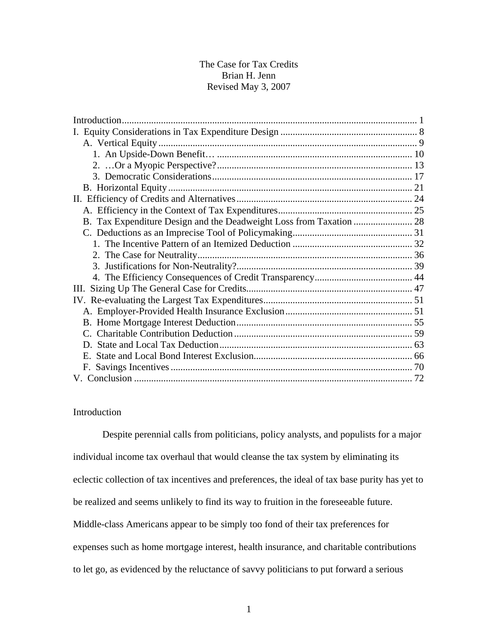# The Case for Tax Credits Brian H. Jenn Revised May 3, 2007

# Introduction

 Despite perennial calls from politicians, policy analysts, and populists for a major individual income tax overhaul that would cleanse the tax system by eliminating its eclectic collection of tax incentives and preferences, the ideal of tax base purity has yet to be realized and seems unlikely to find its way to fruition in the foreseeable future. Middle-class Americans appear to be simply too fond of their tax preferences for expenses such as home mortgage interest, health insurance, and charitable contributions to let go, as evidenced by the reluctance of savvy politicians to put forward a serious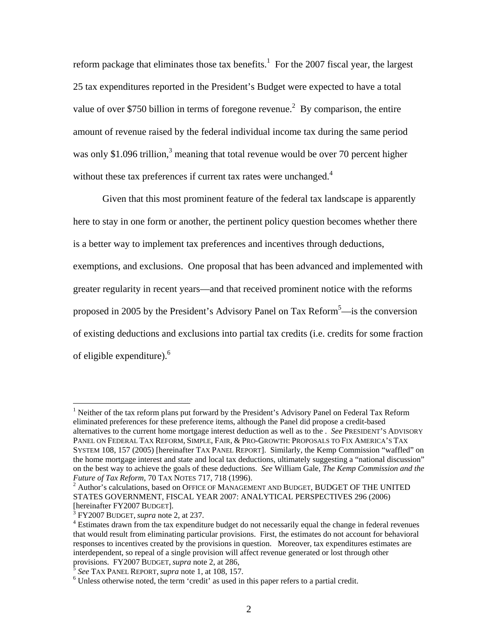reform package that eliminates those tax benefits.<sup>1</sup> For the 2007 fiscal year, the largest 25 tax expenditures reported in the President's Budget were expected to have a total value of over \$750 billion in terms of foregone revenue.<sup>2</sup> By comparison, the entire amount of revenue raised by the federal individual income tax during the same period was only \$1.096 trillion,<sup>3</sup> meaning that total revenue would be over 70 percent higher without these tax preferences if current tax rates were unchanged.<sup>4</sup>

 Given that this most prominent feature of the federal tax landscape is apparently here to stay in one form or another, the pertinent policy question becomes whether there is a better way to implement tax preferences and incentives through deductions, exemptions, and exclusions. One proposal that has been advanced and implemented with greater regularity in recent years—and that received prominent notice with the reforms proposed in 2005 by the President's Advisory Panel on Tax Reform<sup>5</sup>—is the conversion of existing deductions and exclusions into partial tax credits (i.e. credits for some fraction of eligible expenditure).<sup>6</sup>

<sup>&</sup>lt;sup>1</sup> Neither of the tax reform plans put forward by the President's Advisory Panel on Federal Tax Reform eliminated preferences for these preference items, although the Panel did propose a credit-based alternatives to the current home mortgage interest deduction as well as to the . *See* PRESIDENT'S ADVISORY PANEL ON FEDERAL TAX REFORM, SIMPLE, FAIR, & PRO-GROWTH: PROPOSALS TO FIX AMERICA'S TAX SYSTEM 108, 157 (2005) [hereinafter TAX PANEL REPORT]. Similarly, the Kemp Commission "waffled" on the home mortgage interest and state and local tax deductions, ultimately suggesting a "national discussion" on the best way to achieve the goals of these deductions. *See* William Gale, *The Kemp Commission and the Future of Tax Reform*, 70 TAX NOTES 717, 718 (1996). 2

 $2$  Author's calculations, based on OFFICE OF MANAGEMENT AND BUDGET, BUDGET OF THE UNITED STATES GOVERNMENT, FISCAL YEAR 2007: ANALYTICAL PERSPECTIVES 296 (2006) [hereinafter FY2007 BUDGET].

FY2007 BUDGET, *supra* note 2, at 237. 4

<sup>&</sup>lt;sup>4</sup> Estimates drawn from the tax expenditure budget do not necessarily equal the change in federal revenues that would result from eliminating particular provisions. First, the estimates do not account for behavioral responses to incentives created by the provisions in question. Moreover, tax expenditures estimates are interdependent, so repeal of a single provision will affect revenue generated or lost through other provisions. FY2007 BUDGET, *supra* note 2, at 286,

<sup>&</sup>lt;sup>*s*</sup> See TAX PANEL REPORT, *supra* note 1, at 108, 157.

<sup>&</sup>lt;sup>6</sup> Unless otherwise noted, the term 'credit' as used in this paper refers to a partial credit.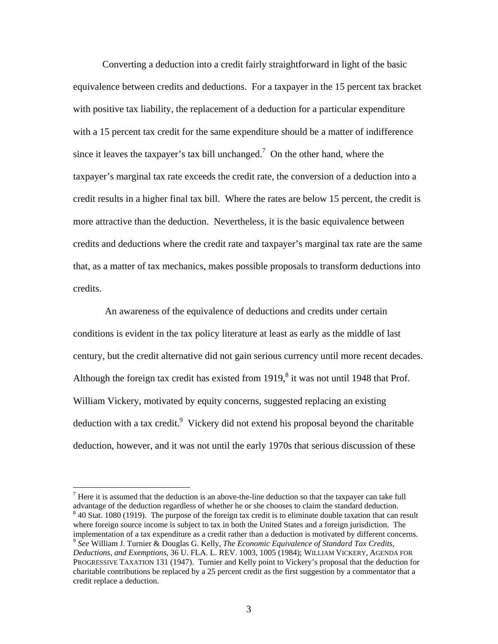Converting a deduction into a credit fairly straightforward in light of the basic equivalence between credits and deductions. For a taxpayer in the 15 percent tax bracket with positive tax liability, the replacement of a deduction for a particular expenditure with a 15 percent tax credit for the same expenditure should be a matter of indifference since it leaves the taxpayer's tax bill unchanged.<sup>7</sup> On the other hand, where the taxpayer's marginal tax rate exceeds the credit rate, the conversion of a deduction into a credit results in a higher final tax bill. Where the rates are below 15 percent, the credit is more attractive than the deduction. Nevertheless, it is the basic equivalence between credits and deductions where the credit rate and taxpayer's marginal tax rate are the same that, as a matter of tax mechanics, makes possible proposals to transform deductions into credits.

 An awareness of the equivalence of deductions and credits under certain conditions is evident in the tax policy literature at least as early as the middle of last century, but the credit alternative did not gain serious currency until more recent decades. Although the foreign tax credit has existed from  $1919<sup>8</sup>$  it was not until 1948 that Prof. William Vickery, motivated by equity concerns, suggested replacing an existing deduction with a tax credit. $9$  Vickery did not extend his proposal beyond the charitable deduction, however, and it was not until the early 1970s that serious discussion of these

<sup>&</sup>lt;sup>7</sup> Here it is assumed that the deduction is an above-the-line deduction so that the taxpayer can take full advantage of the deduction regardless of whether he or she chooses to claim the standard deduction. <sup>8</sup> 40 Stat. 1080 (1919). The purpose of the foreign tax credit is to eliminate double taxation that can result

where foreign source income is subject to tax in both the United States and a foreign jurisdiction. The implementation of a tax expenditure as a credit rather than a deduction is motivated by different concerns. <sup>9</sup> *See* William J. Turnier & Douglas G. Kelly, *The Economic Equivalence of Standard Tax Credits,* 

*Deductions, and Exemptions*, 36 U. FLA. L. REV. 1003, 1005 (1984); WILLIAM VICKERY, AGENDA FOR PROGRESSIVE TAXATION 131 (1947). Turnier and Kelly point to Vickery's proposal that the deduction for charitable contributions be replaced by a 25 percent credit as the first suggestion by a commentator that a credit replace a deduction.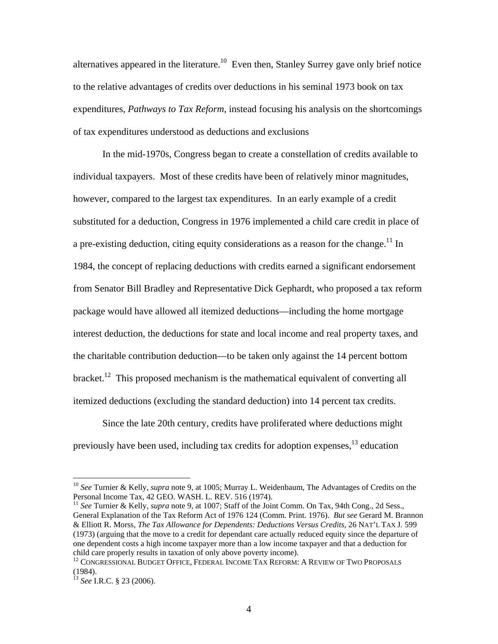alternatives appeared in the literature.<sup>10</sup> Even then, Stanley Surrey gave only brief notice to the relative advantages of credits over deductions in his seminal 1973 book on tax expenditures, *Pathways to Tax Reform*, instead focusing his analysis on the shortcomings of tax expenditures understood as deductions and exclusions

 In the mid-1970s, Congress began to create a constellation of credits available to individual taxpayers. Most of these credits have been of relatively minor magnitudes, however, compared to the largest tax expenditures. In an early example of a credit substituted for a deduction, Congress in 1976 implemented a child care credit in place of a pre-existing deduction, citing equity considerations as a reason for the change.<sup>11</sup> In 1984, the concept of replacing deductions with credits earned a significant endorsement from Senator Bill Bradley and Representative Dick Gephardt, who proposed a tax reform package would have allowed all itemized deductions—including the home mortgage interest deduction, the deductions for state and local income and real property taxes, and the charitable contribution deduction—to be taken only against the 14 percent bottom bracket.<sup>12</sup> This proposed mechanism is the mathematical equivalent of converting all itemized deductions (excluding the standard deduction) into 14 percent tax credits.

Since the late 20th century, credits have proliferated where deductions might previously have been used, including tax credits for adoption expenses,  $^{13}$  education

<sup>10</sup> *See* Turnier & Kelly, *supra* note 9, at 1005; Murray L. Weidenbaum, The Advantages of Credits on the Personal Income Tax, 42 GEO. WASH. L. REV. 516 (1974).

<sup>&</sup>lt;sup>11</sup> See Turnier & Kelly, *supra* note 9, at 1007; Staff of the Joint Comm. On Tax, 94th Cong., 2d Sess., General Explanation of the Tax Reform Act of 1976 124 (Comm. Print. 1976). *But see* Gerard M. Brannon & Elliott R. Morss, *The Tax Allowance for Dependents: Deductions Versus Credits*, 26 NAT'L TAX J. 599 (1973) (arguing that the move to a credit for dependant care actually reduced equity since the departure of one dependent costs a high income taxpayer more than a low income taxpayer and that a deduction for child care properly results in taxation of only above poverty income).

<sup>&</sup>lt;sup>12</sup> CONGRESSIONAL BUDGET OFFICE, FEDERAL INCOME TAX REFORM: A REVIEW OF TWO PROPOSALS (1984).

<sup>13</sup> *See* I.R.C. § 23 (2006).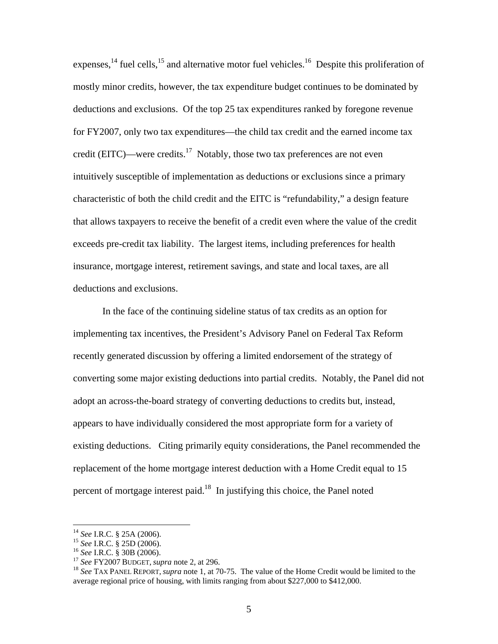expenses,<sup>14</sup> fuel cells,<sup>15</sup> and alternative motor fuel vehicles.<sup>16</sup> Despite this proliferation of mostly minor credits, however, the tax expenditure budget continues to be dominated by deductions and exclusions. Of the top 25 tax expenditures ranked by foregone revenue for FY2007, only two tax expenditures—the child tax credit and the earned income tax credit (EITC)—were credits.<sup>17</sup> Notably, those two tax preferences are not even intuitively susceptible of implementation as deductions or exclusions since a primary characteristic of both the child credit and the EITC is "refundability," a design feature that allows taxpayers to receive the benefit of a credit even where the value of the credit exceeds pre-credit tax liability. The largest items, including preferences for health insurance, mortgage interest, retirement savings, and state and local taxes, are all deductions and exclusions.

 In the face of the continuing sideline status of tax credits as an option for implementing tax incentives, the President's Advisory Panel on Federal Tax Reform recently generated discussion by offering a limited endorsement of the strategy of converting some major existing deductions into partial credits. Notably, the Panel did not adopt an across-the-board strategy of converting deductions to credits but, instead, appears to have individually considered the most appropriate form for a variety of existing deductions. Citing primarily equity considerations, the Panel recommended the replacement of the home mortgage interest deduction with a Home Credit equal to 15 percent of mortgage interest paid.<sup>18</sup> In justifying this choice, the Panel noted

 $^{14}$  See I.R.C. § 25A (2006).

<sup>&</sup>lt;sup>15</sup> See I.R.C. § 25D (2006).<br><sup>16</sup> See I.R.C. § 30B (2006).<br><sup>17</sup> See FY 2007 BUDGET, *supra* note 2, at 296.<br><sup>17</sup> See TAX PANEL REPORT, *supra* note 1, at 70-75. The value of the Home Credit would be limited to the average regional price of housing, with limits ranging from about \$227,000 to \$412,000.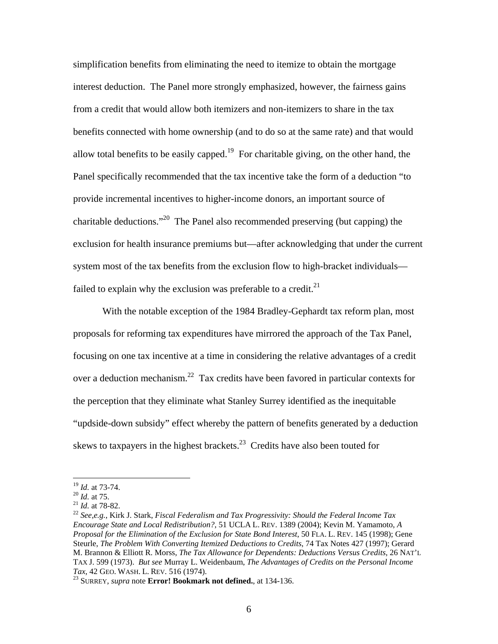simplification benefits from eliminating the need to itemize to obtain the mortgage interest deduction. The Panel more strongly emphasized, however, the fairness gains from a credit that would allow both itemizers and non-itemizers to share in the tax benefits connected with home ownership (and to do so at the same rate) and that would allow total benefits to be easily capped.<sup>19</sup> For charitable giving, on the other hand, the Panel specifically recommended that the tax incentive take the form of a deduction "to provide incremental incentives to higher-income donors, an important source of charitable deductions."20 The Panel also recommended preserving (but capping) the exclusion for health insurance premiums but—after acknowledging that under the current system most of the tax benefits from the exclusion flow to high-bracket individuals failed to explain why the exclusion was preferable to a credit. $21$ 

 With the notable exception of the 1984 Bradley-Gephardt tax reform plan, most proposals for reforming tax expenditures have mirrored the approach of the Tax Panel, focusing on one tax incentive at a time in considering the relative advantages of a credit over a deduction mechanism.<sup>22</sup> Tax credits have been favored in particular contexts for the perception that they eliminate what Stanley Surrey identified as the inequitable "updside-down subsidy" effect whereby the pattern of benefits generated by a deduction skews to taxpayers in the highest brackets.<sup>23</sup> Credits have also been touted for

 $19$  *Id.* at 73-74.

<sup>&</sup>lt;sup>20</sup> *Id.* at 75.<br><sup>21</sup> *Id.* at 78-82.<br><sup>22</sup> See,e.g., Kirk J. Stark, *Fiscal Federalism and Tax Progressivity: Should the Federal Income Tax Encourage State and Local Redistribution?*, 51 UCLA L. REV. 1389 (2004); Kevin M. Yamamoto, *A Proposal for the Elimination of the Exclusion for State Bond Interest*, 50 FLA. L. REV. 145 (1998); Gene Steurle, *The Problem With Converting Itemized Deductions to Credits*, 74 Tax Notes 427 (1997); Gerard M. Brannon & Elliott R. Morss, *The Tax Allowance for Dependents: Deductions Versus Credits*, 26 NAT'L TAX J. 599 (1973). *But see* Murray L. Weidenbaum, *The Advantages of Credits on the Personal Income Tax*, 42 GEO. WASH. L. REV. 516 (1974). 23 SURREY, *supra* note **Error! Bookmark not defined.**, at 134-136.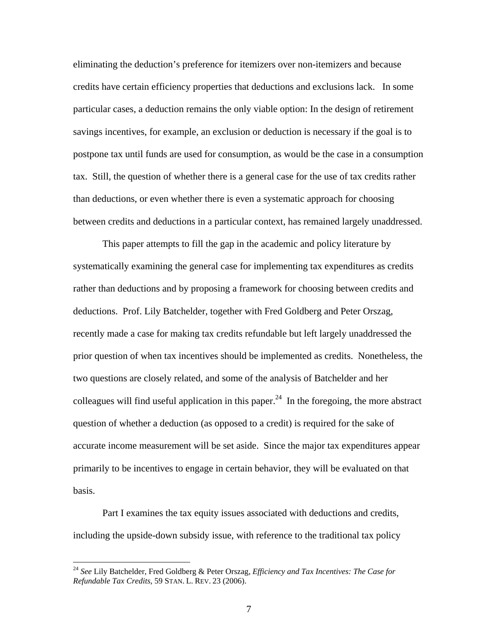eliminating the deduction's preference for itemizers over non-itemizers and because credits have certain efficiency properties that deductions and exclusions lack. In some particular cases, a deduction remains the only viable option: In the design of retirement savings incentives, for example, an exclusion or deduction is necessary if the goal is to postpone tax until funds are used for consumption, as would be the case in a consumption tax. Still, the question of whether there is a general case for the use of tax credits rather than deductions, or even whether there is even a systematic approach for choosing between credits and deductions in a particular context, has remained largely unaddressed.

 This paper attempts to fill the gap in the academic and policy literature by systematically examining the general case for implementing tax expenditures as credits rather than deductions and by proposing a framework for choosing between credits and deductions. Prof. Lily Batchelder, together with Fred Goldberg and Peter Orszag, recently made a case for making tax credits refundable but left largely unaddressed the prior question of when tax incentives should be implemented as credits. Nonetheless, the two questions are closely related, and some of the analysis of Batchelder and her colleagues will find useful application in this paper.<sup>24</sup> In the foregoing, the more abstract question of whether a deduction (as opposed to a credit) is required for the sake of accurate income measurement will be set aside. Since the major tax expenditures appear primarily to be incentives to engage in certain behavior, they will be evaluated on that basis.

Part I examines the tax equity issues associated with deductions and credits, including the upside-down subsidy issue, with reference to the traditional tax policy

<sup>24</sup> *See* Lily Batchelder, Fred Goldberg & Peter Orszag, *Efficiency and Tax Incentives: The Case for Refundable Tax Credits*, 59 STAN. L. REV. 23 (2006).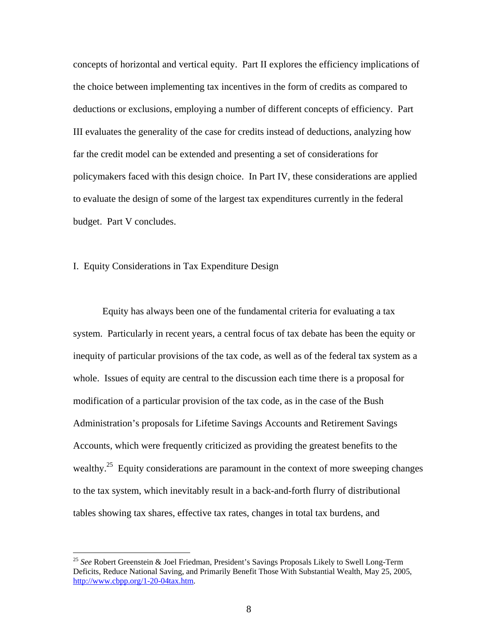concepts of horizontal and vertical equity. Part II explores the efficiency implications of the choice between implementing tax incentives in the form of credits as compared to deductions or exclusions, employing a number of different concepts of efficiency. Part III evaluates the generality of the case for credits instead of deductions, analyzing how far the credit model can be extended and presenting a set of considerations for policymakers faced with this design choice. In Part IV, these considerations are applied to evaluate the design of some of the largest tax expenditures currently in the federal budget. Part V concludes.

I. Equity Considerations in Tax Expenditure Design

1

 Equity has always been one of the fundamental criteria for evaluating a tax system. Particularly in recent years, a central focus of tax debate has been the equity or inequity of particular provisions of the tax code, as well as of the federal tax system as a whole. Issues of equity are central to the discussion each time there is a proposal for modification of a particular provision of the tax code, as in the case of the Bush Administration's proposals for Lifetime Savings Accounts and Retirement Savings Accounts, which were frequently criticized as providing the greatest benefits to the wealthy.<sup>25</sup> Equity considerations are paramount in the context of more sweeping changes to the tax system, which inevitably result in a back-and-forth flurry of distributional tables showing tax shares, effective tax rates, changes in total tax burdens, and

<sup>25</sup> *See* Robert Greenstein & Joel Friedman, President's Savings Proposals Likely to Swell Long-Term Deficits, Reduce National Saving, and Primarily Benefit Those With Substantial Wealth, May 25, 2005, http://www.cbpp.org/1-20-04tax.htm.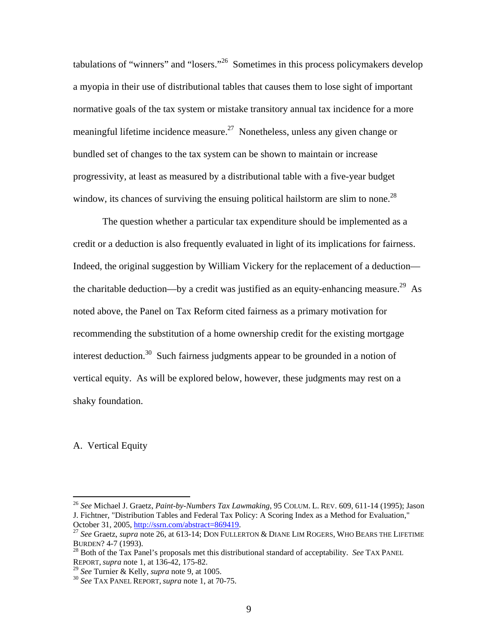tabulations of "winners" and "losers."26 Sometimes in this process policymakers develop a myopia in their use of distributional tables that causes them to lose sight of important normative goals of the tax system or mistake transitory annual tax incidence for a more meaningful lifetime incidence measure.<sup>27</sup> Nonetheless, unless any given change or bundled set of changes to the tax system can be shown to maintain or increase progressivity, at least as measured by a distributional table with a five-year budget window, its chances of surviving the ensuing political hailstorm are slim to none.<sup>28</sup>

 The question whether a particular tax expenditure should be implemented as a credit or a deduction is also frequently evaluated in light of its implications for fairness. Indeed, the original suggestion by William Vickery for the replacement of a deduction the charitable deduction—by a credit was justified as an equity-enhancing measure.<sup>29</sup> As noted above, the Panel on Tax Reform cited fairness as a primary motivation for recommending the substitution of a home ownership credit for the existing mortgage interest deduction.30 Such fairness judgments appear to be grounded in a notion of vertical equity. As will be explored below, however, these judgments may rest on a shaky foundation.

### A. Vertical Equity

<sup>26</sup> *See* Michael J. Graetz, *Paint-by-Numbers Tax Lawmaking*, 95 COLUM. L. REV. 609, 611-14 (1995); Jason J. Fichtner, "Distribution Tables and Federal Tax Policy: A Scoring Index as a Method for Evaluation,"

October 31, 2005, <u>http://ssrn.com/abstract=869419</u>.<br><sup>27</sup> *See* Graetz, *supra* note 26, at 613-14; Don FULLERTON & DIANE LIM ROGERS, WHO BEARS THE LIFETIME BURDEN? 4-7 (1993).

<sup>&</sup>lt;sup>28</sup> Both of the Tax Panel's proposals met this distributional standard of acceptability. *See* TAX PANEL REPORT, *supra* note 1, at 136-42, 175-82.

<sup>29</sup> *See* Turnier & Kelly, *supra* note 9, at 1005. 30 *See* TAX PANEL REPORT, *supra* note 1, at 70-75.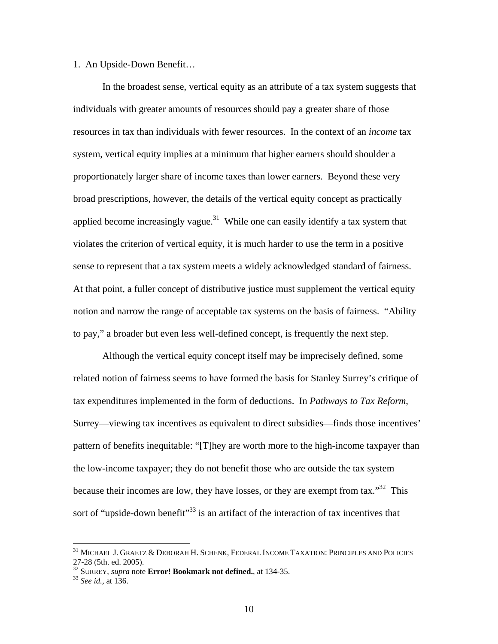# 1. An Upside-Down Benefit…

 In the broadest sense, vertical equity as an attribute of a tax system suggests that individuals with greater amounts of resources should pay a greater share of those resources in tax than individuals with fewer resources. In the context of an *income* tax system, vertical equity implies at a minimum that higher earners should shoulder a proportionately larger share of income taxes than lower earners. Beyond these very broad prescriptions, however, the details of the vertical equity concept as practically applied become increasingly vague.<sup>31</sup> While one can easily identify a tax system that violates the criterion of vertical equity, it is much harder to use the term in a positive sense to represent that a tax system meets a widely acknowledged standard of fairness. At that point, a fuller concept of distributive justice must supplement the vertical equity notion and narrow the range of acceptable tax systems on the basis of fairness. "Ability to pay," a broader but even less well-defined concept, is frequently the next step.

Although the vertical equity concept itself may be imprecisely defined, some related notion of fairness seems to have formed the basis for Stanley Surrey's critique of tax expenditures implemented in the form of deductions. In *Pathways to Tax Reform*, Surrey—viewing tax incentives as equivalent to direct subsidies—finds those incentives' pattern of benefits inequitable: "[T]hey are worth more to the high-income taxpayer than the low-income taxpayer; they do not benefit those who are outside the tax system because their incomes are low, they have losses, or they are exempt from tax."<sup>32</sup> This sort of "upside-down benefit"<sup>33</sup> is an artifact of the interaction of tax incentives that

<sup>31</sup> MICHAEL J. GRAETZ & DEBORAH H. SCHENK, FEDERAL INCOME TAXATION: PRINCIPLES AND POLICIES 27-28 (5th. ed. 2005).

<sup>32</sup> SURREY, *supra* note **Error! Bookmark not defined.**, at 134-35. 33 *See id.,* at 136.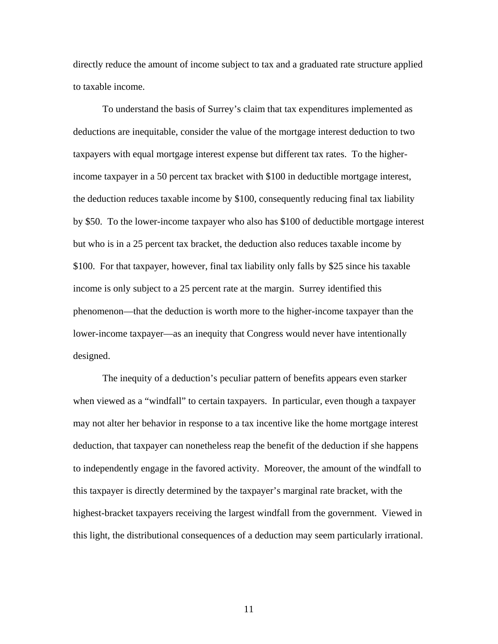directly reduce the amount of income subject to tax and a graduated rate structure applied to taxable income.

 To understand the basis of Surrey's claim that tax expenditures implemented as deductions are inequitable, consider the value of the mortgage interest deduction to two taxpayers with equal mortgage interest expense but different tax rates. To the higherincome taxpayer in a 50 percent tax bracket with \$100 in deductible mortgage interest, the deduction reduces taxable income by \$100, consequently reducing final tax liability by \$50. To the lower-income taxpayer who also has \$100 of deductible mortgage interest but who is in a 25 percent tax bracket, the deduction also reduces taxable income by \$100. For that taxpayer, however, final tax liability only falls by \$25 since his taxable income is only subject to a 25 percent rate at the margin. Surrey identified this phenomenon—that the deduction is worth more to the higher-income taxpayer than the lower-income taxpayer—as an inequity that Congress would never have intentionally designed.

 The inequity of a deduction's peculiar pattern of benefits appears even starker when viewed as a "windfall" to certain taxpayers. In particular, even though a taxpayer may not alter her behavior in response to a tax incentive like the home mortgage interest deduction, that taxpayer can nonetheless reap the benefit of the deduction if she happens to independently engage in the favored activity. Moreover, the amount of the windfall to this taxpayer is directly determined by the taxpayer's marginal rate bracket, with the highest-bracket taxpayers receiving the largest windfall from the government. Viewed in this light, the distributional consequences of a deduction may seem particularly irrational.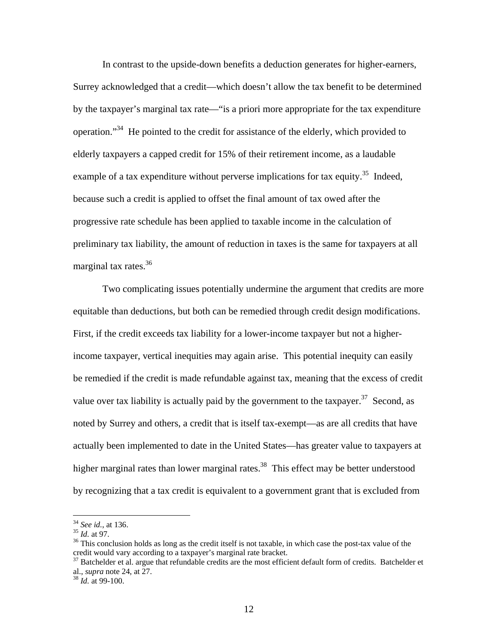In contrast to the upside-down benefits a deduction generates for higher-earners, Surrey acknowledged that a credit—which doesn't allow the tax benefit to be determined by the taxpayer's marginal tax rate—"is a priori more appropriate for the tax expenditure operation."34 He pointed to the credit for assistance of the elderly, which provided to elderly taxpayers a capped credit for 15% of their retirement income, as a laudable example of a tax expenditure without perverse implications for tax equity.<sup>35</sup> Indeed, because such a credit is applied to offset the final amount of tax owed after the progressive rate schedule has been applied to taxable income in the calculation of preliminary tax liability, the amount of reduction in taxes is the same for taxpayers at all marginal tax rates.<sup>36</sup>

Two complicating issues potentially undermine the argument that credits are more equitable than deductions, but both can be remedied through credit design modifications. First, if the credit exceeds tax liability for a lower-income taxpayer but not a higherincome taxpayer, vertical inequities may again arise. This potential inequity can easily be remedied if the credit is made refundable against tax, meaning that the excess of credit value over tax liability is actually paid by the government to the taxpayer.<sup>37</sup> Second, as noted by Surrey and others, a credit that is itself tax-exempt—as are all credits that have actually been implemented to date in the United States—has greater value to taxpayers at higher marginal rates than lower marginal rates.<sup>38</sup> This effect may be better understood by recognizing that a tax credit is equivalent to a government grant that is excluded from

 $^{34}$  *See id.*, at 136.<br><sup>35</sup> *Id.* at 97.

<sup>&</sup>lt;sup>36</sup> This conclusion holds as long as the credit itself is not taxable, in which case the post-tax value of the credit would vary according to a taxpayer's marginal rate bracket.<br><sup>37</sup> Batchelder et al. argue that refundable credits are the most efficient default form of credits. Batchelder et

al., *supra* note 24, at 27. 38 *Id.* at 99-100.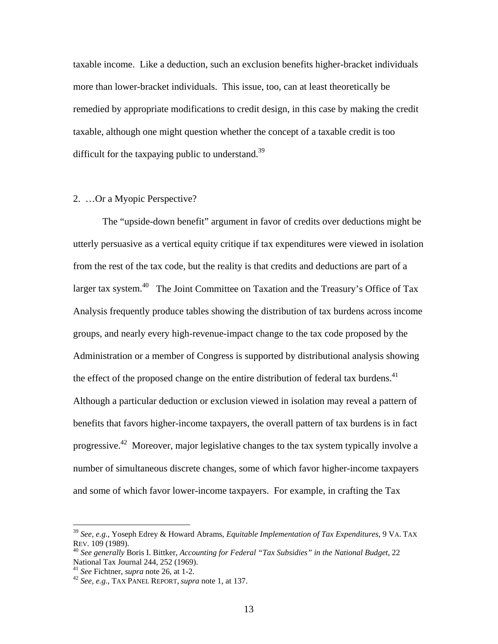taxable income. Like a deduction, such an exclusion benefits higher-bracket individuals more than lower-bracket individuals. This issue, too, can at least theoretically be remedied by appropriate modifications to credit design, in this case by making the credit taxable, although one might question whether the concept of a taxable credit is too difficult for the taxpaying public to understand.<sup>39</sup>

# 2. …Or a Myopic Perspective?

 The "upside-down benefit" argument in favor of credits over deductions might be utterly persuasive as a vertical equity critique if tax expenditures were viewed in isolation from the rest of the tax code, but the reality is that credits and deductions are part of a larger tax system.<sup>40</sup> The Joint Committee on Taxation and the Treasury's Office of Tax Analysis frequently produce tables showing the distribution of tax burdens across income groups, and nearly every high-revenue-impact change to the tax code proposed by the Administration or a member of Congress is supported by distributional analysis showing the effect of the proposed change on the entire distribution of federal tax burdens. $41$ Although a particular deduction or exclusion viewed in isolation may reveal a pattern of benefits that favors higher-income taxpayers, the overall pattern of tax burdens is in fact progressive.<sup>42</sup> Moreover, major legislative changes to the tax system typically involve a number of simultaneous discrete changes, some of which favor higher-income taxpayers and some of which favor lower-income taxpayers. For example, in crafting the Tax

<sup>39</sup> *See, e.g.*, Yoseph Edrey & Howard Abrams, *Equitable Implementation of Tax Expenditures*, 9 VA. TAX REV. 109 (1989).<br><sup>40</sup> See generally Boris I. Bittker, *Accounting for Federal "Tax Subsidies" in the National Budget*, 22

National Tax Journal 244, 252 (1969).<br><sup>41</sup> See Fichtner, supra note 26, at 1-2.

<sup>&</sup>lt;sup>42</sup> *See*, *e.g.*, TAX PANEL REPORT, *supra* note 1, at 137.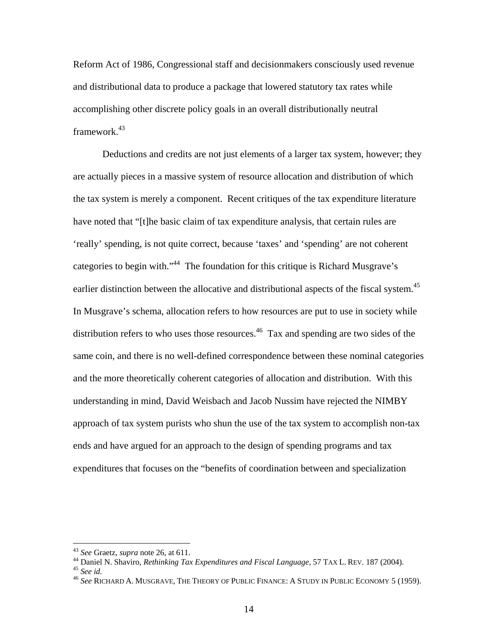Reform Act of 1986, Congressional staff and decisionmakers consciously used revenue and distributional data to produce a package that lowered statutory tax rates while accomplishing other discrete policy goals in an overall distributionally neutral framework.43

Deductions and credits are not just elements of a larger tax system, however; they are actually pieces in a massive system of resource allocation and distribution of which the tax system is merely a component. Recent critiques of the tax expenditure literature have noted that "[t]he basic claim of tax expenditure analysis, that certain rules are 'really' spending, is not quite correct, because 'taxes' and 'spending' are not coherent categories to begin with."44 The foundation for this critique is Richard Musgrave's earlier distinction between the allocative and distributional aspects of the fiscal system.<sup>45</sup> In Musgrave's schema, allocation refers to how resources are put to use in society while distribution refers to who uses those resources.<sup>46</sup> Tax and spending are two sides of the same coin, and there is no well-defined correspondence between these nominal categories and the more theoretically coherent categories of allocation and distribution. With this understanding in mind, David Weisbach and Jacob Nussim have rejected the NIMBY approach of tax system purists who shun the use of the tax system to accomplish non-tax ends and have argued for an approach to the design of spending programs and tax expenditures that focuses on the "benefits of coordination between and specialization

<sup>&</sup>lt;sup>43</sup> See Graetz, *supra* note 26, at 611.<br><sup>44</sup> Daniel N. Shaviro, *Rethinking Tax Expenditures and Fiscal Language*, 57 TAx L. REV. 187 (2004).<br><sup>45</sup> See id.<br><sup>46</sup> See RICHARD A. MUSGRAVE, THE THEORY OF PUBLIC FINANCE: A ST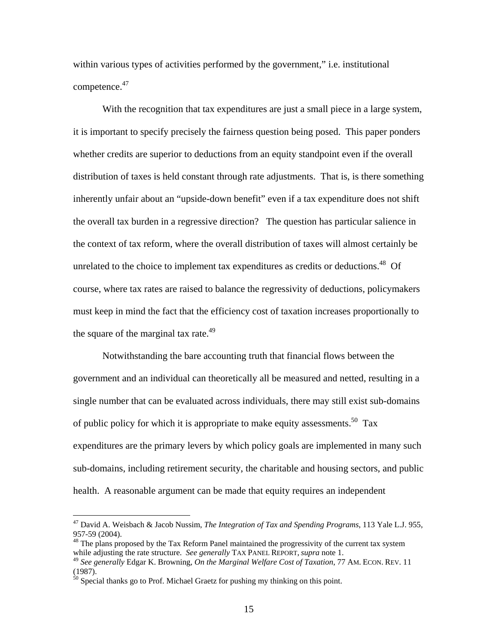within various types of activities performed by the government," i.e. institutional competence.<sup>47</sup>

With the recognition that tax expenditures are just a small piece in a large system, it is important to specify precisely the fairness question being posed. This paper ponders whether credits are superior to deductions from an equity standpoint even if the overall distribution of taxes is held constant through rate adjustments. That is, is there something inherently unfair about an "upside-down benefit" even if a tax expenditure does not shift the overall tax burden in a regressive direction? The question has particular salience in the context of tax reform, where the overall distribution of taxes will almost certainly be unrelated to the choice to implement tax expenditures as credits or deductions.<sup>48</sup> Of course, where tax rates are raised to balance the regressivity of deductions, policymakers must keep in mind the fact that the efficiency cost of taxation increases proportionally to the square of the marginal tax rate.<sup>49</sup>

 Notwithstanding the bare accounting truth that financial flows between the government and an individual can theoretically all be measured and netted, resulting in a single number that can be evaluated across individuals, there may still exist sub-domains of public policy for which it is appropriate to make equity assessments.<sup>50</sup> Tax expenditures are the primary levers by which policy goals are implemented in many such sub-domains, including retirement security, the charitable and housing sectors, and public health. A reasonable argument can be made that equity requires an independent

<sup>47</sup> David A. Weisbach & Jacob Nussim, *The Integration of Tax and Spending Programs*, 113 Yale L.J. 955, 957-59 (2004).

<sup>&</sup>lt;sup>48</sup> The plans proposed by the Tax Reform Panel maintained the progressivity of the current tax system while adjusting the rate structure. *See generally* TAX PANEL REPORT, *supra* note 1.

<sup>49</sup> *See generally* Edgar K. Browning, *On the Marginal Welfare Cost of Taxation*, 77 AM. ECON. REV. 11 (1987).

 $50$  Special thanks go to Prof. Michael Graetz for pushing my thinking on this point.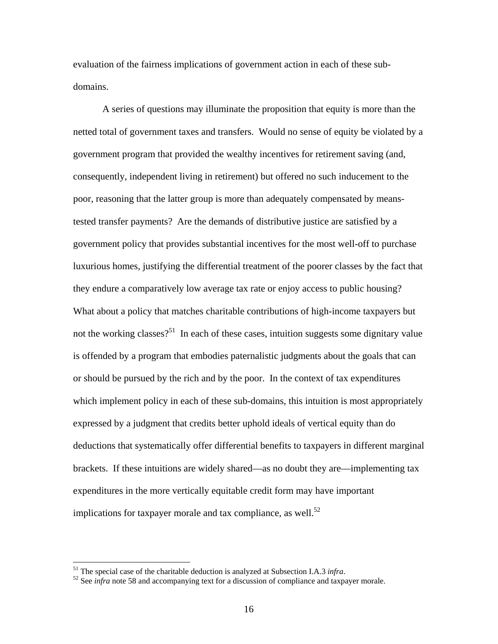evaluation of the fairness implications of government action in each of these subdomains.

A series of questions may illuminate the proposition that equity is more than the netted total of government taxes and transfers. Would no sense of equity be violated by a government program that provided the wealthy incentives for retirement saving (and, consequently, independent living in retirement) but offered no such inducement to the poor, reasoning that the latter group is more than adequately compensated by meanstested transfer payments? Are the demands of distributive justice are satisfied by a government policy that provides substantial incentives for the most well-off to purchase luxurious homes, justifying the differential treatment of the poorer classes by the fact that they endure a comparatively low average tax rate or enjoy access to public housing? What about a policy that matches charitable contributions of high-income taxpayers but not the working classes?<sup>51</sup> In each of these cases, intuition suggests some dignitary value is offended by a program that embodies paternalistic judgments about the goals that can or should be pursued by the rich and by the poor. In the context of tax expenditures which implement policy in each of these sub-domains, this intuition is most appropriately expressed by a judgment that credits better uphold ideals of vertical equity than do deductions that systematically offer differential benefits to taxpayers in different marginal brackets. If these intuitions are widely shared—as no doubt they are—implementing tax expenditures in the more vertically equitable credit form may have important implications for taxpayer morale and tax compliance, as well. $52$ 

 $51$  The special case of the charitable deduction is analyzed at Subsection I.A.3 infra.

<sup>&</sup>lt;sup>52</sup> See *infra* note 58 and accompanying text for a discussion of compliance and taxpayer morale.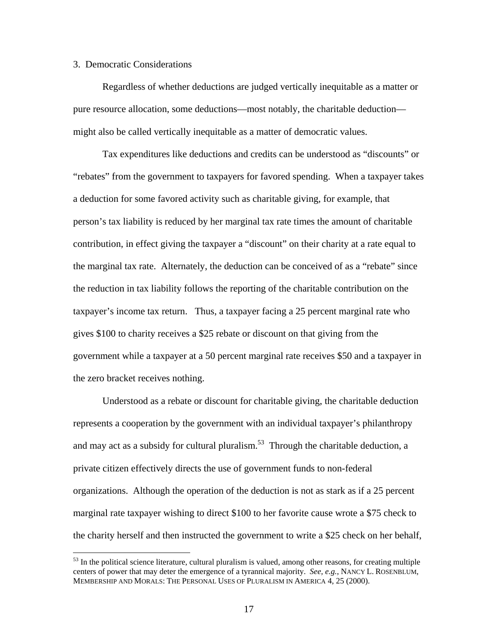# 3. Democratic Considerations

 $\overline{a}$ 

 Regardless of whether deductions are judged vertically inequitable as a matter or pure resource allocation, some deductions—most notably, the charitable deduction might also be called vertically inequitable as a matter of democratic values.

Tax expenditures like deductions and credits can be understood as "discounts" or "rebates" from the government to taxpayers for favored spending. When a taxpayer takes a deduction for some favored activity such as charitable giving, for example, that person's tax liability is reduced by her marginal tax rate times the amount of charitable contribution, in effect giving the taxpayer a "discount" on their charity at a rate equal to the marginal tax rate. Alternately, the deduction can be conceived of as a "rebate" since the reduction in tax liability follows the reporting of the charitable contribution on the taxpayer's income tax return. Thus, a taxpayer facing a 25 percent marginal rate who gives \$100 to charity receives a \$25 rebate or discount on that giving from the government while a taxpayer at a 50 percent marginal rate receives \$50 and a taxpayer in the zero bracket receives nothing.

 Understood as a rebate or discount for charitable giving, the charitable deduction represents a cooperation by the government with an individual taxpayer's philanthropy and may act as a subsidy for cultural pluralism.<sup>53</sup> Through the charitable deduction, a private citizen effectively directs the use of government funds to non-federal organizations. Although the operation of the deduction is not as stark as if a 25 percent marginal rate taxpayer wishing to direct \$100 to her favorite cause wrote a \$75 check to the charity herself and then instructed the government to write a \$25 check on her behalf,

<sup>&</sup>lt;sup>53</sup> In the political science literature, cultural pluralism is valued, among other reasons, for creating multiple centers of power that may deter the emergence of a tyrannical majority. *See, e.g.*, NANCY L. ROSENBLUM, MEMBERSHIP AND MORALS: THE PERSONAL USES OF PLURALISM IN AMERICA 4, 25 (2000).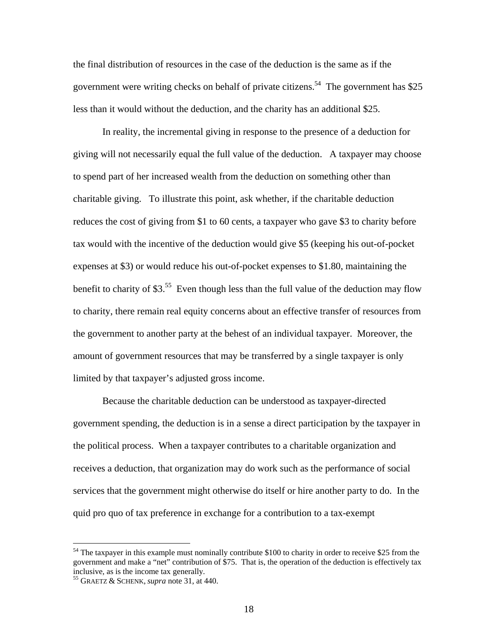the final distribution of resources in the case of the deduction is the same as if the government were writing checks on behalf of private citizens.<sup>54</sup> The government has  $$25$ less than it would without the deduction, and the charity has an additional \$25.

In reality, the incremental giving in response to the presence of a deduction for giving will not necessarily equal the full value of the deduction. A taxpayer may choose to spend part of her increased wealth from the deduction on something other than charitable giving. To illustrate this point, ask whether, if the charitable deduction reduces the cost of giving from \$1 to 60 cents, a taxpayer who gave \$3 to charity before tax would with the incentive of the deduction would give \$5 (keeping his out-of-pocket expenses at \$3) or would reduce his out-of-pocket expenses to \$1.80, maintaining the benefit to charity of \$3.<sup>55</sup> Even though less than the full value of the deduction may flow to charity, there remain real equity concerns about an effective transfer of resources from the government to another party at the behest of an individual taxpayer. Moreover, the amount of government resources that may be transferred by a single taxpayer is only limited by that taxpayer's adjusted gross income.

 Because the charitable deduction can be understood as taxpayer-directed government spending, the deduction is in a sense a direct participation by the taxpayer in the political process. When a taxpayer contributes to a charitable organization and receives a deduction, that organization may do work such as the performance of social services that the government might otherwise do itself or hire another party to do. In the quid pro quo of tax preference in exchange for a contribution to a tax-exempt

<sup>&</sup>lt;sup>54</sup> The taxpayer in this example must nominally contribute \$100 to charity in order to receive \$25 from the government and make a "net" contribution of \$75. That is, the operation of the deduction is effectively tax inclusive, as is the income tax generally.

<sup>55</sup> GRAETZ & SCHENK, *supra* note 31, at 440.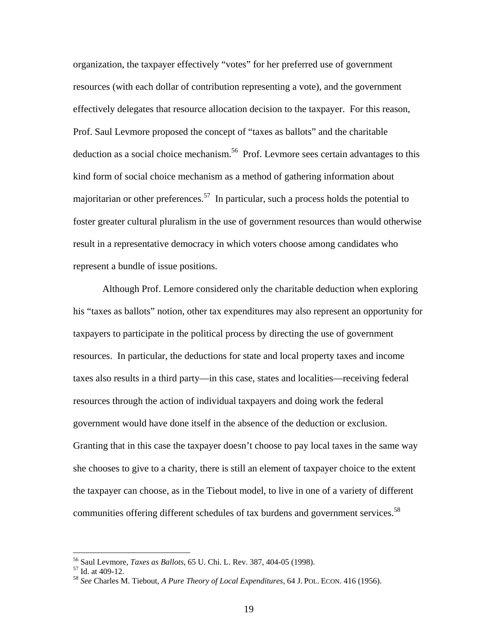organization, the taxpayer effectively "votes" for her preferred use of government resources (with each dollar of contribution representing a vote), and the government effectively delegates that resource allocation decision to the taxpayer. For this reason, Prof. Saul Levmore proposed the concept of "taxes as ballots" and the charitable deduction as a social choice mechanism.<sup>56</sup> Prof. Levmore sees certain advantages to this kind form of social choice mechanism as a method of gathering information about majoritarian or other preferences.<sup>57</sup> In particular, such a process holds the potential to foster greater cultural pluralism in the use of government resources than would otherwise result in a representative democracy in which voters choose among candidates who represent a bundle of issue positions.

 Although Prof. Lemore considered only the charitable deduction when exploring his "taxes as ballots" notion, other tax expenditures may also represent an opportunity for taxpayers to participate in the political process by directing the use of government resources. In particular, the deductions for state and local property taxes and income taxes also results in a third party—in this case, states and localities—receiving federal resources through the action of individual taxpayers and doing work the federal government would have done itself in the absence of the deduction or exclusion. Granting that in this case the taxpayer doesn't choose to pay local taxes in the same way she chooses to give to a charity, there is still an element of taxpayer choice to the extent the taxpayer can choose, as in the Tiebout model, to live in one of a variety of different communities offering different schedules of tax burdens and government services.<sup>58</sup>

<sup>56</sup> Saul Levmore, *Taxes as Ballots*, 65 U. Chi. L. Rev. 387, 404-05 (1998). 57 Id. at 409-12.

<sup>58</sup> *See* Charles M. Tiebout, *A Pure Theory of Local Expenditures*, 64 J. POL. ECON. 416 (1956).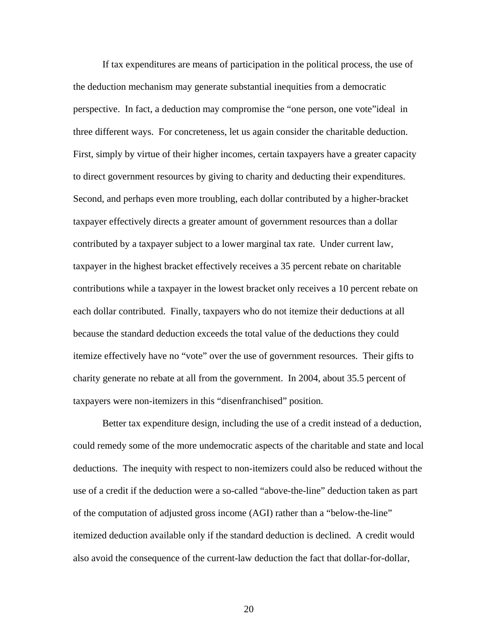If tax expenditures are means of participation in the political process, the use of the deduction mechanism may generate substantial inequities from a democratic perspective. In fact, a deduction may compromise the "one person, one vote"ideal in three different ways. For concreteness, let us again consider the charitable deduction. First, simply by virtue of their higher incomes, certain taxpayers have a greater capacity to direct government resources by giving to charity and deducting their expenditures. Second, and perhaps even more troubling, each dollar contributed by a higher-bracket taxpayer effectively directs a greater amount of government resources than a dollar contributed by a taxpayer subject to a lower marginal tax rate. Under current law, taxpayer in the highest bracket effectively receives a 35 percent rebate on charitable contributions while a taxpayer in the lowest bracket only receives a 10 percent rebate on each dollar contributed. Finally, taxpayers who do not itemize their deductions at all because the standard deduction exceeds the total value of the deductions they could itemize effectively have no "vote" over the use of government resources. Their gifts to charity generate no rebate at all from the government. In 2004, about 35.5 percent of taxpayers were non-itemizers in this "disenfranchised" position.

 Better tax expenditure design, including the use of a credit instead of a deduction, could remedy some of the more undemocratic aspects of the charitable and state and local deductions. The inequity with respect to non-itemizers could also be reduced without the use of a credit if the deduction were a so-called "above-the-line" deduction taken as part of the computation of adjusted gross income (AGI) rather than a "below-the-line" itemized deduction available only if the standard deduction is declined. A credit would also avoid the consequence of the current-law deduction the fact that dollar-for-dollar,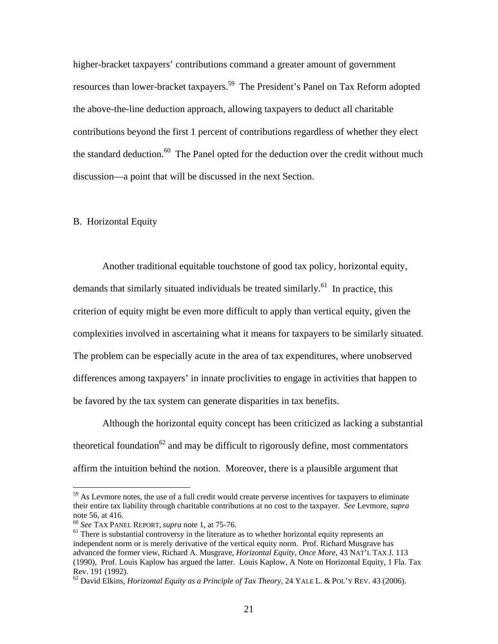higher-bracket taxpayers' contributions command a greater amount of government resources than lower-bracket taxpayers.<sup>59</sup> The President's Panel on Tax Reform adopted the above-the-line deduction approach, allowing taxpayers to deduct all charitable contributions beyond the first 1 percent of contributions regardless of whether they elect the standard deduction.<sup>60</sup> The Panel opted for the deduction over the credit without much discussion—a point that will be discussed in the next Section.

# B. Horizontal Equity

 Another traditional equitable touchstone of good tax policy, horizontal equity, demands that similarly situated individuals be treated similarly.<sup>61</sup> In practice, this criterion of equity might be even more difficult to apply than vertical equity, given the complexities involved in ascertaining what it means for taxpayers to be similarly situated. The problem can be especially acute in the area of tax expenditures, where unobserved differences among taxpayers' in innate proclivities to engage in activities that happen to be favored by the tax system can generate disparities in tax benefits.

Although the horizontal equity concept has been criticized as lacking a substantial theoretical foundation<sup>62</sup> and may be difficult to rigorously define, most commentators affirm the intuition behind the notion. Moreover, there is a plausible argument that

 $59$  As Levmore notes, the use of a full credit would create perverse incentives for taxpayers to eliminate their entire tax liability through charitable contributions at no cost to the taxpayer. *See* Levmore, *supra* note 56, at 416.<br><sup>60</sup> See TAX PANEL REPORT, *supra* note 1, at 75-76.

<sup>&</sup>lt;sup>61</sup> There is substantial controversy in the literature as to whether horizontal equity represents an independent norm or is merely derivative of the vertical equity norm. Prof. Richard Musgrave has advanced the former view, Richard A. Musgrave, *Horizontal Equity, Once More*, 43 NAT'L TAX J. 113 (1990), Prof. Louis Kaplow has argued the latter. Louis Kaplow, A Note on Horizontal Equity, 1 Fla. Tax Rev. 191 (1992).

<sup>62</sup> David Elkins, *Horizontal Equity as a Principle of Tax Theory*, 24 YALE L. & POL'Y REV. 43 (2006).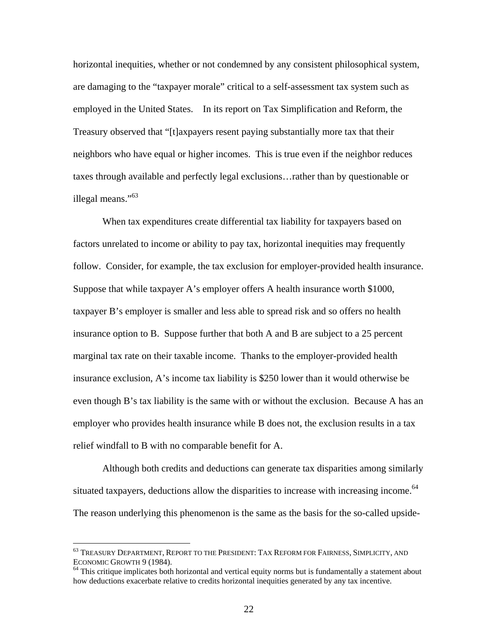horizontal inequities, whether or not condemned by any consistent philosophical system, are damaging to the "taxpayer morale" critical to a self-assessment tax system such as employed in the United States. In its report on Tax Simplification and Reform, the Treasury observed that "[t]axpayers resent paying substantially more tax that their neighbors who have equal or higher incomes. This is true even if the neighbor reduces taxes through available and perfectly legal exclusions…rather than by questionable or illegal means."<sup>63</sup>

 When tax expenditures create differential tax liability for taxpayers based on factors unrelated to income or ability to pay tax, horizontal inequities may frequently follow. Consider, for example, the tax exclusion for employer-provided health insurance. Suppose that while taxpayer A's employer offers A health insurance worth \$1000, taxpayer B's employer is smaller and less able to spread risk and so offers no health insurance option to B. Suppose further that both A and B are subject to a 25 percent marginal tax rate on their taxable income. Thanks to the employer-provided health insurance exclusion, A's income tax liability is \$250 lower than it would otherwise be even though B's tax liability is the same with or without the exclusion. Because A has an employer who provides health insurance while B does not, the exclusion results in a tax relief windfall to B with no comparable benefit for A.

Although both credits and deductions can generate tax disparities among similarly situated taxpayers, deductions allow the disparities to increase with increasing income.<sup>64</sup> The reason underlying this phenomenon is the same as the basis for the so-called upside-

<u>.</u>

<sup>63</sup> TREASURY DEPARTMENT, REPORT TO THE PRESIDENT: TAX REFORM FOR FAIRNESS, SIMPLICITY, AND ECONOMIC GROWTH 9 (1984).<br><sup>64</sup> This critique implicates both horizontal and vertical equity norms but is fundamentally a statement about

how deductions exacerbate relative to credits horizontal inequities generated by any tax incentive.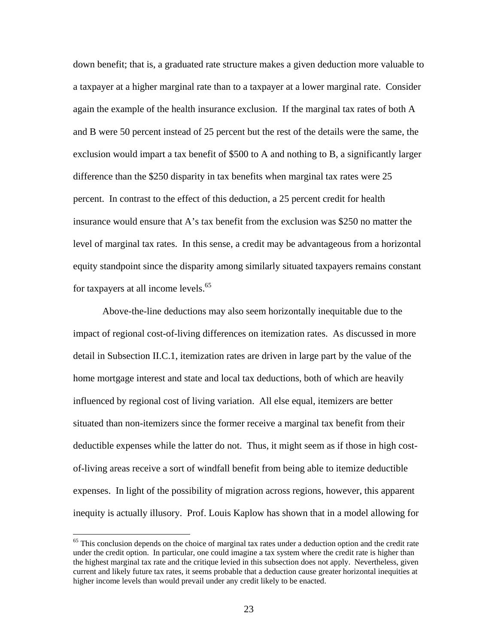down benefit; that is, a graduated rate structure makes a given deduction more valuable to a taxpayer at a higher marginal rate than to a taxpayer at a lower marginal rate. Consider again the example of the health insurance exclusion. If the marginal tax rates of both A and B were 50 percent instead of 25 percent but the rest of the details were the same, the exclusion would impart a tax benefit of \$500 to A and nothing to B, a significantly larger difference than the \$250 disparity in tax benefits when marginal tax rates were 25 percent. In contrast to the effect of this deduction, a 25 percent credit for health insurance would ensure that A's tax benefit from the exclusion was \$250 no matter the level of marginal tax rates. In this sense, a credit may be advantageous from a horizontal equity standpoint since the disparity among similarly situated taxpayers remains constant for taxpayers at all income levels.<sup>65</sup>

Above-the-line deductions may also seem horizontally inequitable due to the impact of regional cost-of-living differences on itemization rates. As discussed in more detail in Subsection II.C.1, itemization rates are driven in large part by the value of the home mortgage interest and state and local tax deductions, both of which are heavily influenced by regional cost of living variation. All else equal, itemizers are better situated than non-itemizers since the former receive a marginal tax benefit from their deductible expenses while the latter do not. Thus, it might seem as if those in high costof-living areas receive a sort of windfall benefit from being able to itemize deductible expenses. In light of the possibility of migration across regions, however, this apparent inequity is actually illusory. Prof. Louis Kaplow has shown that in a model allowing for

<sup>&</sup>lt;sup>65</sup> This conclusion depends on the choice of marginal tax rates under a deduction option and the credit rate under the credit option. In particular, one could imagine a tax system where the credit rate is higher than the highest marginal tax rate and the critique levied in this subsection does not apply. Nevertheless, given current and likely future tax rates, it seems probable that a deduction cause greater horizontal inequities at higher income levels than would prevail under any credit likely to be enacted.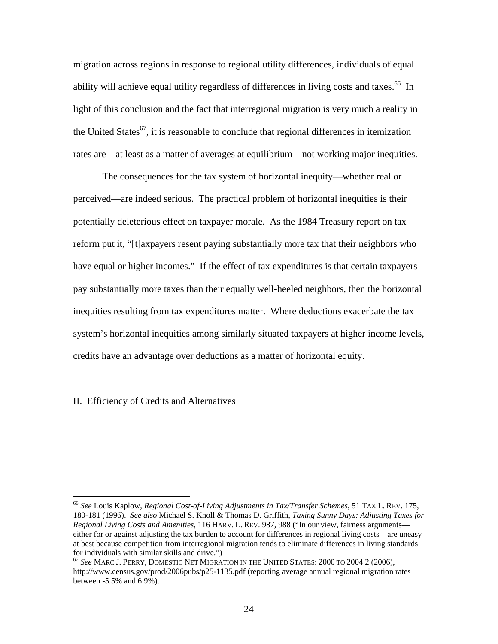migration across regions in response to regional utility differences, individuals of equal ability will achieve equal utility regardless of differences in living costs and taxes.<sup>66</sup> In light of this conclusion and the fact that interregional migration is very much a reality in the United States<sup>67</sup>, it is reasonable to conclude that regional differences in itemization rates are—at least as a matter of averages at equilibrium—not working major inequities.

The consequences for the tax system of horizontal inequity—whether real or perceived—are indeed serious. The practical problem of horizontal inequities is their potentially deleterious effect on taxpayer morale. As the 1984 Treasury report on tax reform put it, "[t]axpayers resent paying substantially more tax that their neighbors who have equal or higher incomes." If the effect of tax expenditures is that certain taxpayers pay substantially more taxes than their equally well-heeled neighbors, then the horizontal inequities resulting from tax expenditures matter. Where deductions exacerbate the tax system's horizontal inequities among similarly situated taxpayers at higher income levels, credits have an advantage over deductions as a matter of horizontal equity.

#### II. Efficiency of Credits and Alternatives

<sup>66</sup> *See* Louis Kaplow, *Regional Cost-of-Living Adjustments in Tax/Transfer Schemes*, 51 TAX L. REV. 175, 180-181 (1996). *See also* Michael S. Knoll & Thomas D. Griffith, *Taxing Sunny Days: Adjusting Taxes for Regional Living Costs and Amenities*, 116 HARV. L. REV. 987, 988 ("In our view, fairness arguments either for or against adjusting the tax burden to account for differences in regional living costs—are uneasy at best because competition from interregional migration tends to eliminate differences in living standards for individuals with similar skills and drive.")

<sup>67</sup> *See* MARC J. PERRY, DOMESTIC NET MIGRATION IN THE UNITED STATES: 2000 TO 2004 2 (2006), http://www.census.gov/prod/2006pubs/p25-1135.pdf (reporting average annual regional migration rates between -5.5% and 6.9%).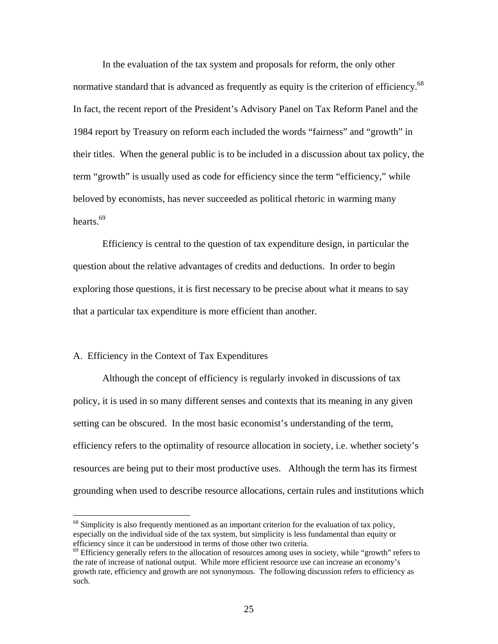In the evaluation of the tax system and proposals for reform, the only other normative standard that is advanced as frequently as equity is the criterion of efficiency.<sup>68</sup> In fact, the recent report of the President's Advisory Panel on Tax Reform Panel and the 1984 report by Treasury on reform each included the words "fairness" and "growth" in their titles. When the general public is to be included in a discussion about tax policy, the term "growth" is usually used as code for efficiency since the term "efficiency," while beloved by economists, has never succeeded as political rhetoric in warming many hearts $69$ 

 Efficiency is central to the question of tax expenditure design, in particular the question about the relative advantages of credits and deductions. In order to begin exploring those questions, it is first necessary to be precise about what it means to say that a particular tax expenditure is more efficient than another.

### A. Efficiency in the Context of Tax Expenditures

 $\overline{a}$ 

Although the concept of efficiency is regularly invoked in discussions of tax policy, it is used in so many different senses and contexts that its meaning in any given setting can be obscured. In the most basic economist's understanding of the term, efficiency refers to the optimality of resource allocation in society, i.e. whether society's resources are being put to their most productive uses. Although the term has its firmest grounding when used to describe resource allocations, certain rules and institutions which

<sup>&</sup>lt;sup>68</sup> Simplicity is also frequently mentioned as an important criterion for the evaluation of tax policy, especially on the individual side of the tax system, but simplicity is less fundamental than equity or efficiency since it can be understood in terms of those other two criteria.

 $69$  Efficiency generally refers to the allocation of resources among uses in society, while "growth" refers to the rate of increase of national output. While more efficient resource use can increase an economy's growth rate, efficiency and growth are not synonymous. The following discussion refers to efficiency as such.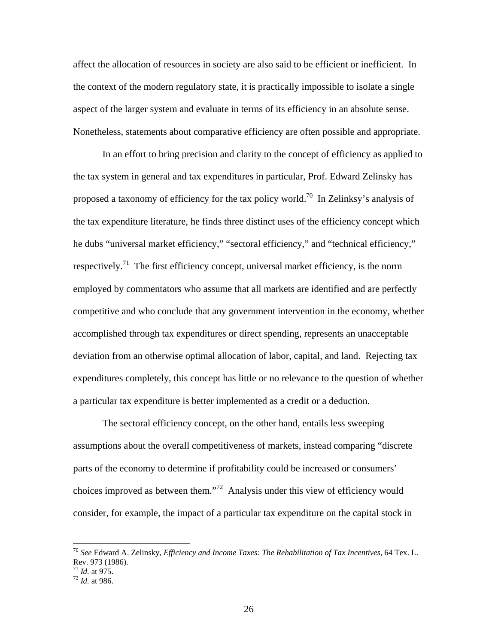affect the allocation of resources in society are also said to be efficient or inefficient. In the context of the modern regulatory state, it is practically impossible to isolate a single aspect of the larger system and evaluate in terms of its efficiency in an absolute sense. Nonetheless, statements about comparative efficiency are often possible and appropriate.

In an effort to bring precision and clarity to the concept of efficiency as applied to the tax system in general and tax expenditures in particular, Prof. Edward Zelinsky has proposed a taxonomy of efficiency for the tax policy world.70 In Zelinksy's analysis of the tax expenditure literature, he finds three distinct uses of the efficiency concept which he dubs "universal market efficiency," "sectoral efficiency," and "technical efficiency," respectively.<sup>71</sup> The first efficiency concept, universal market efficiency, is the norm employed by commentators who assume that all markets are identified and are perfectly competitive and who conclude that any government intervention in the economy, whether accomplished through tax expenditures or direct spending, represents an unacceptable deviation from an otherwise optimal allocation of labor, capital, and land. Rejecting tax expenditures completely, this concept has little or no relevance to the question of whether a particular tax expenditure is better implemented as a credit or a deduction.

The sectoral efficiency concept, on the other hand, entails less sweeping assumptions about the overall competitiveness of markets, instead comparing "discrete parts of the economy to determine if profitability could be increased or consumers' choices improved as between them."72 Analysis under this view of efficiency would consider, for example, the impact of a particular tax expenditure on the capital stock in

<u>.</u>

<sup>70</sup> *See* Edward A. Zelinsky, *Efficiency and Income Taxes: The Rehabilitation of Tax Incentives*, 64 Tex. L. Rev. 973 (1986).

<sup>71</sup> *Id.* at 975. 72 *Id.* at 986.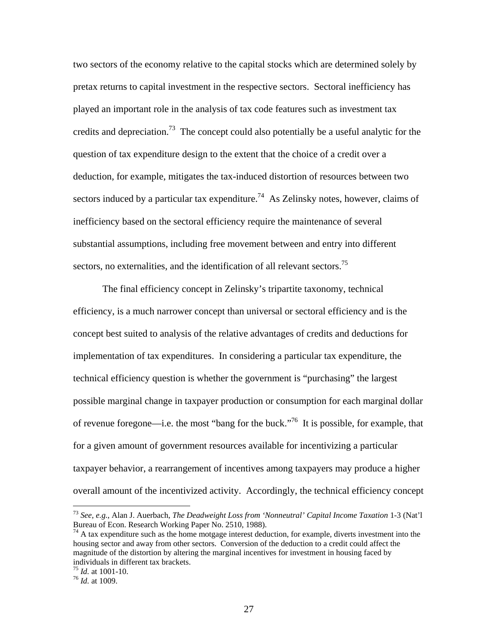two sectors of the economy relative to the capital stocks which are determined solely by pretax returns to capital investment in the respective sectors. Sectoral inefficiency has played an important role in the analysis of tax code features such as investment tax credits and depreciation.<sup>73</sup> The concept could also potentially be a useful analytic for the question of tax expenditure design to the extent that the choice of a credit over a deduction, for example, mitigates the tax-induced distortion of resources between two sectors induced by a particular tax expenditure.<sup>74</sup> As Zelinsky notes, however, claims of inefficiency based on the sectoral efficiency require the maintenance of several substantial assumptions, including free movement between and entry into different sectors, no externalities, and the identification of all relevant sectors.<sup>75</sup>

The final efficiency concept in Zelinsky's tripartite taxonomy, technical efficiency, is a much narrower concept than universal or sectoral efficiency and is the concept best suited to analysis of the relative advantages of credits and deductions for implementation of tax expenditures. In considering a particular tax expenditure, the technical efficiency question is whether the government is "purchasing" the largest possible marginal change in taxpayer production or consumption for each marginal dollar of revenue foregone—i.e. the most "bang for the buck."76 It is possible, for example, that for a given amount of government resources available for incentivizing a particular taxpayer behavior, a rearrangement of incentives among taxpayers may produce a higher overall amount of the incentivized activity. Accordingly, the technical efficiency concept

<sup>73</sup> *See, e.g.*, Alan J. Auerbach, *The Deadweight Loss from 'Nonneutral' Capital Income Taxation* 1-3 (Nat'l Bureau of Econ. Research Working Paper No. 2510, 1988).

 $74$  A tax expenditure such as the home motgage interest deduction, for example, diverts investment into the housing sector and away from other sectors. Conversion of the deduction to a credit could affect the magnitude of the distortion by altering the marginal incentives for investment in housing faced by individuals in different tax brackets.

<sup>75</sup> *Id.* at 1001-10. 76 *Id.* at 1009.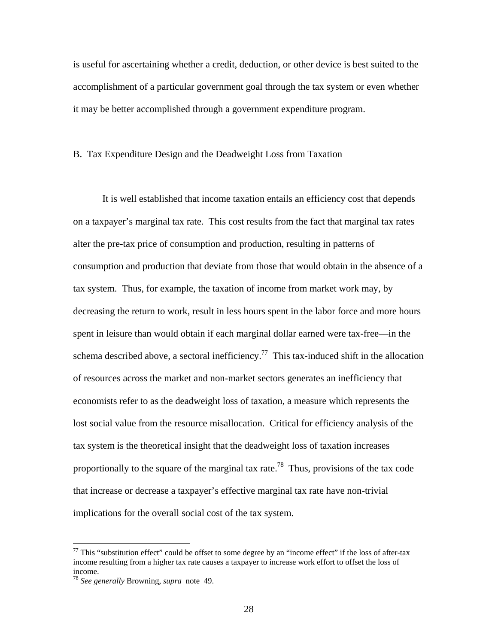is useful for ascertaining whether a credit, deduction, or other device is best suited to the accomplishment of a particular government goal through the tax system or even whether it may be better accomplished through a government expenditure program.

### B. Tax Expenditure Design and the Deadweight Loss from Taxation

 It is well established that income taxation entails an efficiency cost that depends on a taxpayer's marginal tax rate. This cost results from the fact that marginal tax rates alter the pre-tax price of consumption and production, resulting in patterns of consumption and production that deviate from those that would obtain in the absence of a tax system. Thus, for example, the taxation of income from market work may, by decreasing the return to work, result in less hours spent in the labor force and more hours spent in leisure than would obtain if each marginal dollar earned were tax-free—in the schema described above, a sectoral inefficiency.<sup>77</sup> This tax-induced shift in the allocation of resources across the market and non-market sectors generates an inefficiency that economists refer to as the deadweight loss of taxation, a measure which represents the lost social value from the resource misallocation. Critical for efficiency analysis of the tax system is the theoretical insight that the deadweight loss of taxation increases proportionally to the square of the marginal tax rate.<sup>78</sup> Thus, provisions of the tax code that increase or decrease a taxpayer's effective marginal tax rate have non-trivial implications for the overall social cost of the tax system.

 $^{77}$  This "substitution effect" could be offset to some degree by an "income effect" if the loss of after-tax income resulting from a higher tax rate causes a taxpayer to increase work effort to offset the loss of income.

<sup>78</sup> *See generally* Browning, *supra* note 49.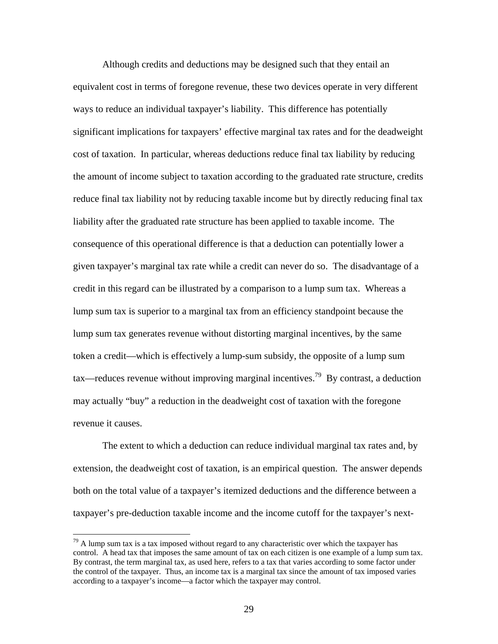Although credits and deductions may be designed such that they entail an equivalent cost in terms of foregone revenue, these two devices operate in very different ways to reduce an individual taxpayer's liability. This difference has potentially significant implications for taxpayers' effective marginal tax rates and for the deadweight cost of taxation. In particular, whereas deductions reduce final tax liability by reducing the amount of income subject to taxation according to the graduated rate structure, credits reduce final tax liability not by reducing taxable income but by directly reducing final tax liability after the graduated rate structure has been applied to taxable income. The consequence of this operational difference is that a deduction can potentially lower a given taxpayer's marginal tax rate while a credit can never do so. The disadvantage of a credit in this regard can be illustrated by a comparison to a lump sum tax. Whereas a lump sum tax is superior to a marginal tax from an efficiency standpoint because the lump sum tax generates revenue without distorting marginal incentives, by the same token a credit—which is effectively a lump-sum subsidy, the opposite of a lump sum tax—reduces revenue without improving marginal incentives.<sup>79</sup> By contrast, a deduction may actually "buy" a reduction in the deadweight cost of taxation with the foregone revenue it causes.

The extent to which a deduction can reduce individual marginal tax rates and, by extension, the deadweight cost of taxation, is an empirical question. The answer depends both on the total value of a taxpayer's itemized deductions and the difference between a taxpayer's pre-deduction taxable income and the income cutoff for the taxpayer's next-

 $79$  A lump sum tax is a tax imposed without regard to any characteristic over which the taxpayer has control. A head tax that imposes the same amount of tax on each citizen is one example of a lump sum tax. By contrast, the term marginal tax, as used here, refers to a tax that varies according to some factor under the control of the taxpayer. Thus, an income tax is a marginal tax since the amount of tax imposed varies according to a taxpayer's income—a factor which the taxpayer may control.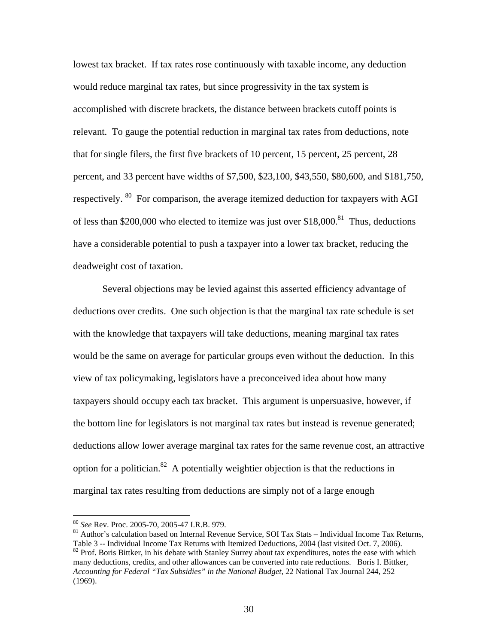lowest tax bracket. If tax rates rose continuously with taxable income, any deduction would reduce marginal tax rates, but since progressivity in the tax system is accomplished with discrete brackets, the distance between brackets cutoff points is relevant. To gauge the potential reduction in marginal tax rates from deductions, note that for single filers, the first five brackets of 10 percent, 15 percent, 25 percent, 28 percent, and 33 percent have widths of \$7,500, \$23,100, \$43,550, \$80,600, and \$181,750, respectively. 80 For comparison, the average itemized deduction for taxpayers with AGI of less than \$200,000 who elected to itemize was just over  $$18,000$ <sup>81</sup>. Thus, deductions have a considerable potential to push a taxpayer into a lower tax bracket, reducing the deadweight cost of taxation.

Several objections may be levied against this asserted efficiency advantage of deductions over credits. One such objection is that the marginal tax rate schedule is set with the knowledge that taxpayers will take deductions, meaning marginal tax rates would be the same on average for particular groups even without the deduction. In this view of tax policymaking, legislators have a preconceived idea about how many taxpayers should occupy each tax bracket. This argument is unpersuasive, however, if the bottom line for legislators is not marginal tax rates but instead is revenue generated; deductions allow lower average marginal tax rates for the same revenue cost, an attractive option for a politician.<sup>82</sup> A potentially weightier objection is that the reductions in marginal tax rates resulting from deductions are simply not of a large enough

<sup>&</sup>lt;sup>80</sup> *See* Rev. Proc. 2005-70, 2005-47 I.R.B. 979.<br><sup>81</sup> Author's calculation based on Internal Revenue Service, SOI Tax Stats – Individual Income Tax Returns, Table 3 -- Individual Income Tax Returns with Itemized Deductions, 2004 (last visited Oct. 7, 2006).  $82$  Prof. Boris Bittker, in his debate with Stanley Surrey about tax expenditures, notes the ease with which many deductions, credits, and other allowances can be converted into rate reductions. Boris I. Bittker, *Accounting for Federal "Tax Subsidies" in the National Budget*, 22 National Tax Journal 244, 252 (1969).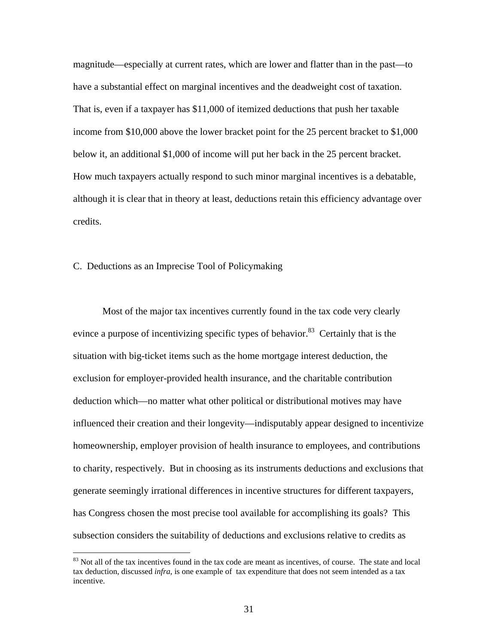magnitude—especially at current rates, which are lower and flatter than in the past—to have a substantial effect on marginal incentives and the deadweight cost of taxation. That is, even if a taxpayer has \$11,000 of itemized deductions that push her taxable income from \$10,000 above the lower bracket point for the 25 percent bracket to \$1,000 below it, an additional \$1,000 of income will put her back in the 25 percent bracket. How much taxpayers actually respond to such minor marginal incentives is a debatable, although it is clear that in theory at least, deductions retain this efficiency advantage over credits.

# C. Deductions as an Imprecise Tool of Policymaking

1

 Most of the major tax incentives currently found in the tax code very clearly evince a purpose of incentivizing specific types of behavior.<sup>83</sup> Certainly that is the situation with big-ticket items such as the home mortgage interest deduction, the exclusion for employer-provided health insurance, and the charitable contribution deduction which—no matter what other political or distributional motives may have influenced their creation and their longevity—indisputably appear designed to incentivize homeownership, employer provision of health insurance to employees, and contributions to charity, respectively. But in choosing as its instruments deductions and exclusions that generate seemingly irrational differences in incentive structures for different taxpayers, has Congress chosen the most precise tool available for accomplishing its goals? This subsection considers the suitability of deductions and exclusions relative to credits as

<sup>&</sup>lt;sup>83</sup> Not all of the tax incentives found in the tax code are meant as incentives, of course. The state and local tax deduction, discussed *infra*, is one example of tax expenditure that does not seem intended as a tax incentive.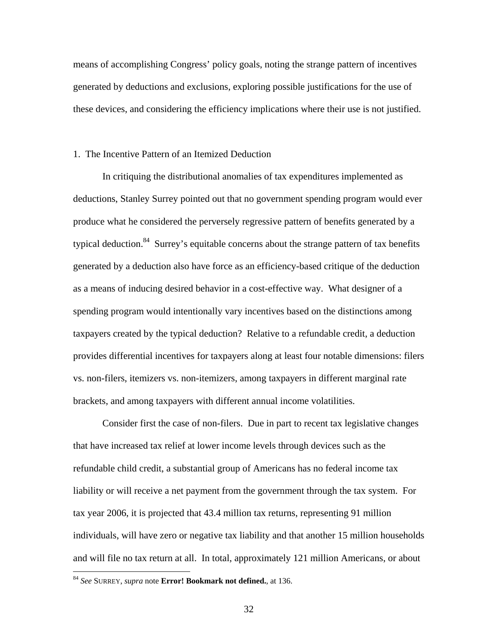means of accomplishing Congress' policy goals, noting the strange pattern of incentives generated by deductions and exclusions, exploring possible justifications for the use of these devices, and considering the efficiency implications where their use is not justified.

### 1. The Incentive Pattern of an Itemized Deduction

 In critiquing the distributional anomalies of tax expenditures implemented as deductions, Stanley Surrey pointed out that no government spending program would ever produce what he considered the perversely regressive pattern of benefits generated by a typical deduction.<sup>84</sup> Surrey's equitable concerns about the strange pattern of tax benefits generated by a deduction also have force as an efficiency-based critique of the deduction as a means of inducing desired behavior in a cost-effective way. What designer of a spending program would intentionally vary incentives based on the distinctions among taxpayers created by the typical deduction? Relative to a refundable credit, a deduction provides differential incentives for taxpayers along at least four notable dimensions: filers vs. non-filers, itemizers vs. non-itemizers, among taxpayers in different marginal rate brackets, and among taxpayers with different annual income volatilities.

 Consider first the case of non-filers. Due in part to recent tax legislative changes that have increased tax relief at lower income levels through devices such as the refundable child credit, a substantial group of Americans has no federal income tax liability or will receive a net payment from the government through the tax system. For tax year 2006, it is projected that 43.4 million tax returns, representing 91 million individuals, will have zero or negative tax liability and that another 15 million households and will file no tax return at all. In total, approximately 121 million Americans, or about

<sup>84</sup> *See* SURREY, *supra* note **Error! Bookmark not defined.**, at 136.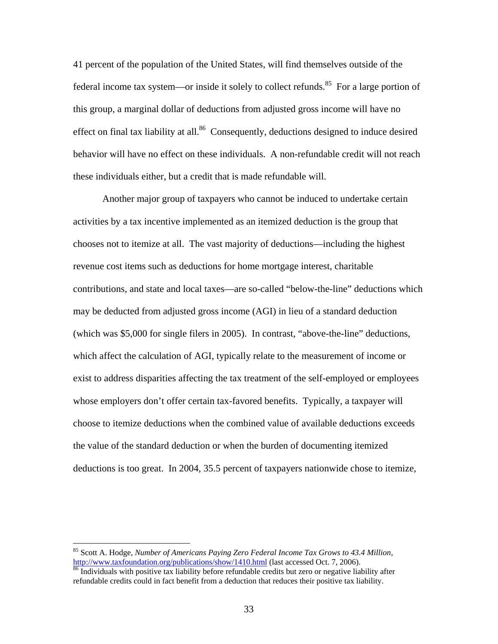41 percent of the population of the United States, will find themselves outside of the federal income tax system—or inside it solely to collect refunds.<sup>85</sup> For a large portion of this group, a marginal dollar of deductions from adjusted gross income will have no effect on final tax liability at all.<sup>86</sup> Consequently, deductions designed to induce desired behavior will have no effect on these individuals. A non-refundable credit will not reach these individuals either, but a credit that is made refundable will.

 Another major group of taxpayers who cannot be induced to undertake certain activities by a tax incentive implemented as an itemized deduction is the group that chooses not to itemize at all. The vast majority of deductions—including the highest revenue cost items such as deductions for home mortgage interest, charitable contributions, and state and local taxes—are so-called "below-the-line" deductions which may be deducted from adjusted gross income (AGI) in lieu of a standard deduction (which was \$5,000 for single filers in 2005). In contrast, "above-the-line" deductions, which affect the calculation of AGI, typically relate to the measurement of income or exist to address disparities affecting the tax treatment of the self-employed or employees whose employers don't offer certain tax-favored benefits. Typically, a taxpayer will choose to itemize deductions when the combined value of available deductions exceeds the value of the standard deduction or when the burden of documenting itemized deductions is too great. In 2004, 35.5 percent of taxpayers nationwide chose to itemize,

<sup>&</sup>lt;sup>85</sup> Scott A. Hodge, *Number of Americans Paying Zero Federal Income Tax Grows to 43.4 Million*,<br>http://www.taxfoundation.org/publications/show/1410.html (last accessed Oct. 7, 2006).

 $\frac{1}{166}$  Individuals with positive tax liability before refundable credits but zero or negative liability after refundable credits could in fact benefit from a deduction that reduces their positive tax liability.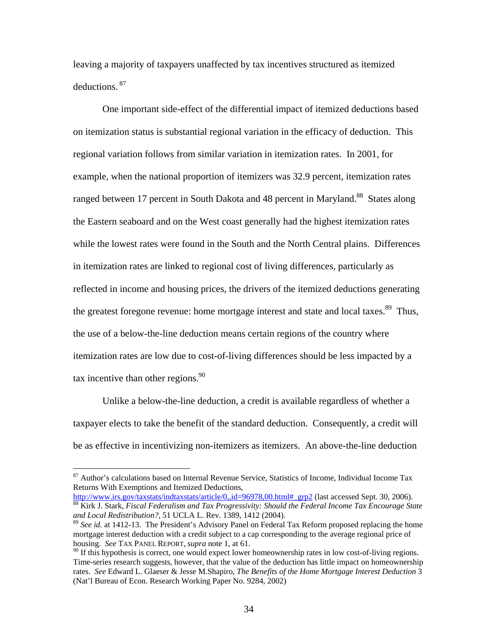leaving a majority of taxpayers unaffected by tax incentives structured as itemized deductions. 87

 One important side-effect of the differential impact of itemized deductions based on itemization status is substantial regional variation in the efficacy of deduction. This regional variation follows from similar variation in itemization rates. In 2001, for example, when the national proportion of itemizers was 32.9 percent, itemization rates ranged between 17 percent in South Dakota and 48 percent in Maryland.<sup>88</sup> States along the Eastern seaboard and on the West coast generally had the highest itemization rates while the lowest rates were found in the South and the North Central plains. Differences in itemization rates are linked to regional cost of living differences, particularly as reflected in income and housing prices, the drivers of the itemized deductions generating the greatest foregone revenue: home mortgage interest and state and local taxes.<sup>89</sup> Thus, the use of a below-the-line deduction means certain regions of the country where itemization rates are low due to cost-of-living differences should be less impacted by a tax incentive than other regions. $90$ 

 Unlike a below-the-line deduction, a credit is available regardless of whether a taxpayer elects to take the benefit of the standard deduction. Consequently, a credit will be as effective in incentivizing non-itemizers as itemizers. An above-the-line deduction

<sup>87</sup> Author's calculations based on Internal Revenue Service, Statistics of Income, Individual Income Tax Returns With Exemptions and Itemized Deductions,<br>http://www.irs.gov/taxstats/indtaxstats/article/0, id=96978,00.html# grp2 (last accessed Sept. 30, 2006).

 $\frac{1}{88}$  Kirk J. Stark, *Fiscal Federalism and Tax Progressivity: Should the Federal Income Tax Encourage State and Local Redistribution?,* 51 UCLA L. Rev. 1389, 1412 (2004).

<sup>&</sup>lt;sup>89</sup> *See id.* at 1412-13. The President's Advisory Panel on Federal Tax Reform proposed replacing the home mortgage interest deduction with a credit subject to a cap corresponding to the average regional price of housing. *See* TAX PANEL REPORT, *supra* note 1, at 61.

 $90$  If this hypothesis is correct, one would expect lower homeownership rates in low cost-of-living regions. Time-series research suggests, however, that the value of the deduction has little impact on homeownership rates. *See* Edward L. Glaeser & Jesse M.Shapiro, *The Benefits of the Home Mortgage Interest Deduction* 3 (Nat'l Bureau of Econ. Research Working Paper No. 9284, 2002)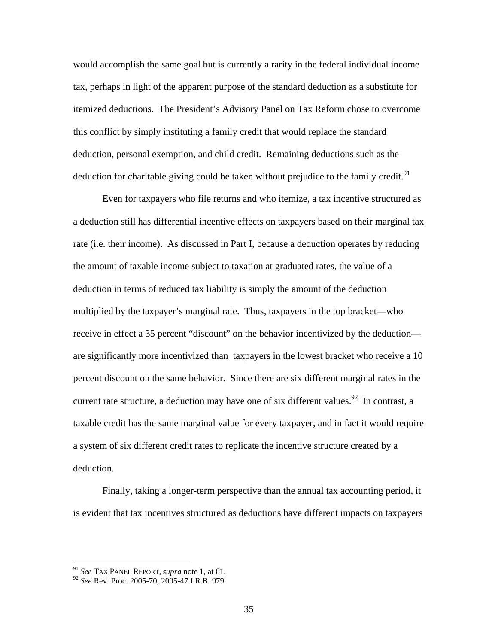would accomplish the same goal but is currently a rarity in the federal individual income tax, perhaps in light of the apparent purpose of the standard deduction as a substitute for itemized deductions. The President's Advisory Panel on Tax Reform chose to overcome this conflict by simply instituting a family credit that would replace the standard deduction, personal exemption, and child credit. Remaining deductions such as the deduction for charitable giving could be taken without prejudice to the family credit.<sup>91</sup>

 Even for taxpayers who file returns and who itemize, a tax incentive structured as a deduction still has differential incentive effects on taxpayers based on their marginal tax rate (i.e. their income). As discussed in Part I, because a deduction operates by reducing the amount of taxable income subject to taxation at graduated rates, the value of a deduction in terms of reduced tax liability is simply the amount of the deduction multiplied by the taxpayer's marginal rate. Thus, taxpayers in the top bracket—who receive in effect a 35 percent "discount" on the behavior incentivized by the deduction are significantly more incentivized than taxpayers in the lowest bracket who receive a 10 percent discount on the same behavior. Since there are six different marginal rates in the current rate structure, a deduction may have one of six different values.<sup>92</sup> In contrast, a taxable credit has the same marginal value for every taxpayer, and in fact it would require a system of six different credit rates to replicate the incentive structure created by a deduction.

 Finally, taking a longer-term perspective than the annual tax accounting period, it is evident that tax incentives structured as deductions have different impacts on taxpayers

<sup>91</sup> *See* TAX PANEL REPORT, *supra* note 1, at 61.

<sup>92</sup> *See* Rev. Proc. 2005-70, 2005-47 I.R.B. 979.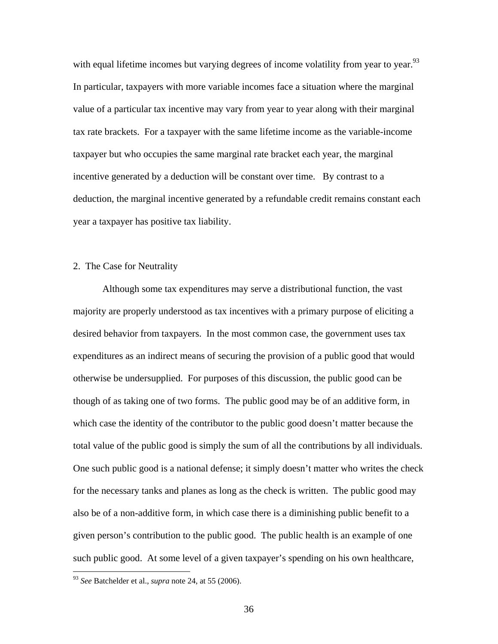with equal lifetime incomes but varying degrees of income volatility from year to year.<sup>93</sup> In particular, taxpayers with more variable incomes face a situation where the marginal value of a particular tax incentive may vary from year to year along with their marginal tax rate brackets. For a taxpayer with the same lifetime income as the variable-income taxpayer but who occupies the same marginal rate bracket each year, the marginal incentive generated by a deduction will be constant over time. By contrast to a deduction, the marginal incentive generated by a refundable credit remains constant each year a taxpayer has positive tax liability.

# 2. The Case for Neutrality

 Although some tax expenditures may serve a distributional function, the vast majority are properly understood as tax incentives with a primary purpose of eliciting a desired behavior from taxpayers. In the most common case, the government uses tax expenditures as an indirect means of securing the provision of a public good that would otherwise be undersupplied. For purposes of this discussion, the public good can be though of as taking one of two forms. The public good may be of an additive form, in which case the identity of the contributor to the public good doesn't matter because the total value of the public good is simply the sum of all the contributions by all individuals. One such public good is a national defense; it simply doesn't matter who writes the check for the necessary tanks and planes as long as the check is written. The public good may also be of a non-additive form, in which case there is a diminishing public benefit to a given person's contribution to the public good. The public health is an example of one such public good. At some level of a given taxpayer's spending on his own healthcare,

<u>.</u>

<sup>93</sup> *See* Batchelder et al., *supra* note 24, at 55 (2006).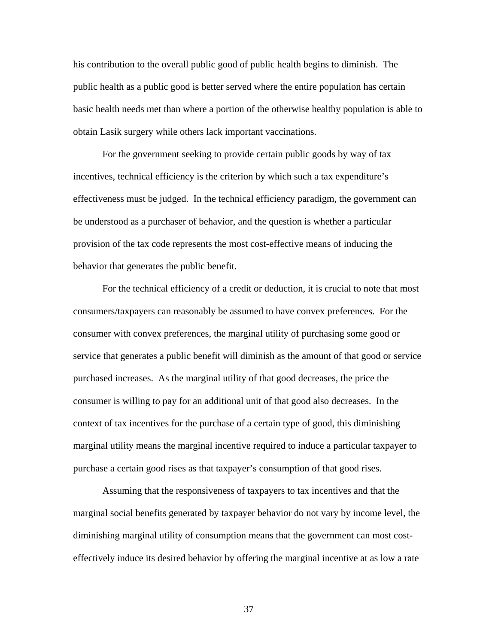his contribution to the overall public good of public health begins to diminish. The public health as a public good is better served where the entire population has certain basic health needs met than where a portion of the otherwise healthy population is able to obtain Lasik surgery while others lack important vaccinations.

For the government seeking to provide certain public goods by way of tax incentives, technical efficiency is the criterion by which such a tax expenditure's effectiveness must be judged. In the technical efficiency paradigm, the government can be understood as a purchaser of behavior, and the question is whether a particular provision of the tax code represents the most cost-effective means of inducing the behavior that generates the public benefit.

For the technical efficiency of a credit or deduction, it is crucial to note that most consumers/taxpayers can reasonably be assumed to have convex preferences. For the consumer with convex preferences, the marginal utility of purchasing some good or service that generates a public benefit will diminish as the amount of that good or service purchased increases. As the marginal utility of that good decreases, the price the consumer is willing to pay for an additional unit of that good also decreases. In the context of tax incentives for the purchase of a certain type of good, this diminishing marginal utility means the marginal incentive required to induce a particular taxpayer to purchase a certain good rises as that taxpayer's consumption of that good rises.

Assuming that the responsiveness of taxpayers to tax incentives and that the marginal social benefits generated by taxpayer behavior do not vary by income level, the diminishing marginal utility of consumption means that the government can most costeffectively induce its desired behavior by offering the marginal incentive at as low a rate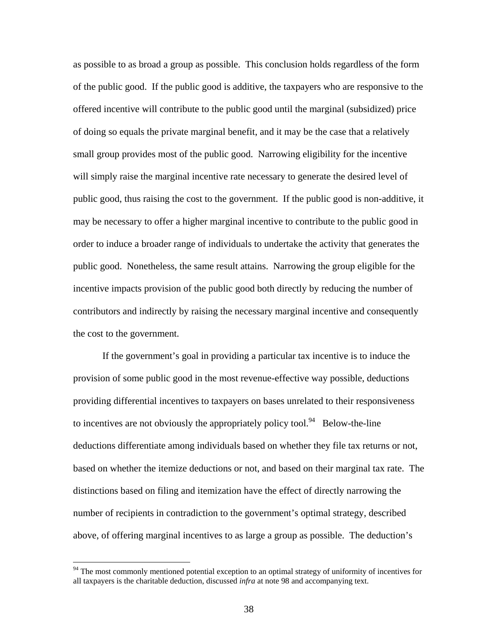as possible to as broad a group as possible. This conclusion holds regardless of the form of the public good. If the public good is additive, the taxpayers who are responsive to the offered incentive will contribute to the public good until the marginal (subsidized) price of doing so equals the private marginal benefit, and it may be the case that a relatively small group provides most of the public good. Narrowing eligibility for the incentive will simply raise the marginal incentive rate necessary to generate the desired level of public good, thus raising the cost to the government. If the public good is non-additive, it may be necessary to offer a higher marginal incentive to contribute to the public good in order to induce a broader range of individuals to undertake the activity that generates the public good. Nonetheless, the same result attains. Narrowing the group eligible for the incentive impacts provision of the public good both directly by reducing the number of contributors and indirectly by raising the necessary marginal incentive and consequently the cost to the government.

If the government's goal in providing a particular tax incentive is to induce the provision of some public good in the most revenue-effective way possible, deductions providing differential incentives to taxpayers on bases unrelated to their responsiveness to incentives are not obviously the appropriately policy tool.<sup>94</sup> Below-the-line deductions differentiate among individuals based on whether they file tax returns or not, based on whether the itemize deductions or not, and based on their marginal tax rate. The distinctions based on filing and itemization have the effect of directly narrowing the number of recipients in contradiction to the government's optimal strategy, described above, of offering marginal incentives to as large a group as possible. The deduction's

<sup>&</sup>lt;sup>94</sup> The most commonly mentioned potential exception to an optimal strategy of uniformity of incentives for all taxpayers is the charitable deduction, discussed *infra* at note 98 and accompanying text.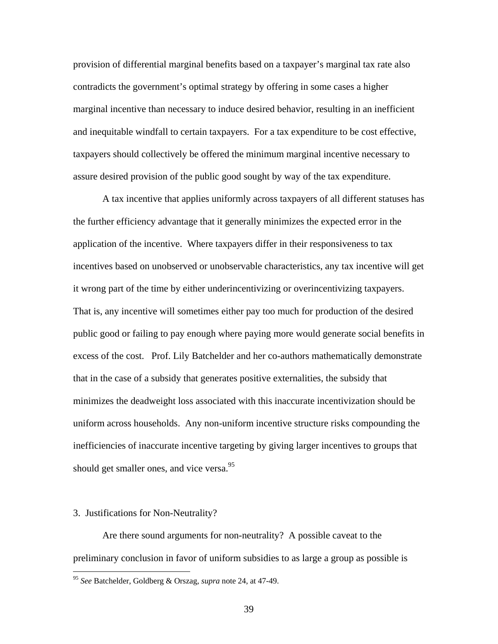provision of differential marginal benefits based on a taxpayer's marginal tax rate also contradicts the government's optimal strategy by offering in some cases a higher marginal incentive than necessary to induce desired behavior, resulting in an inefficient and inequitable windfall to certain taxpayers. For a tax expenditure to be cost effective, taxpayers should collectively be offered the minimum marginal incentive necessary to assure desired provision of the public good sought by way of the tax expenditure.

A tax incentive that applies uniformly across taxpayers of all different statuses has the further efficiency advantage that it generally minimizes the expected error in the application of the incentive. Where taxpayers differ in their responsiveness to tax incentives based on unobserved or unobservable characteristics, any tax incentive will get it wrong part of the time by either underincentivizing or overincentivizing taxpayers. That is, any incentive will sometimes either pay too much for production of the desired public good or failing to pay enough where paying more would generate social benefits in excess of the cost. Prof. Lily Batchelder and her co-authors mathematically demonstrate that in the case of a subsidy that generates positive externalities, the subsidy that minimizes the deadweight loss associated with this inaccurate incentivization should be uniform across households. Any non-uniform incentive structure risks compounding the inefficiencies of inaccurate incentive targeting by giving larger incentives to groups that should get smaller ones, and vice versa.<sup>95</sup>

#### 3. Justifications for Non-Neutrality?

 $\overline{a}$ 

Are there sound arguments for non-neutrality? A possible caveat to the preliminary conclusion in favor of uniform subsidies to as large a group as possible is

<sup>95</sup> *See* Batchelder, Goldberg & Orszag, *supra* note 24, at 47-49.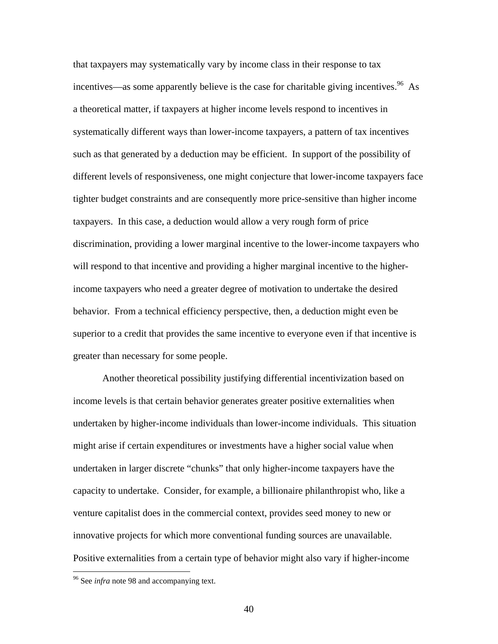that taxpayers may systematically vary by income class in their response to tax incentives—as some apparently believe is the case for charitable giving incentives.<sup>96</sup> As a theoretical matter, if taxpayers at higher income levels respond to incentives in systematically different ways than lower-income taxpayers, a pattern of tax incentives such as that generated by a deduction may be efficient. In support of the possibility of different levels of responsiveness, one might conjecture that lower-income taxpayers face tighter budget constraints and are consequently more price-sensitive than higher income taxpayers. In this case, a deduction would allow a very rough form of price discrimination, providing a lower marginal incentive to the lower-income taxpayers who will respond to that incentive and providing a higher marginal incentive to the higherincome taxpayers who need a greater degree of motivation to undertake the desired behavior. From a technical efficiency perspective, then, a deduction might even be superior to a credit that provides the same incentive to everyone even if that incentive is greater than necessary for some people.

 Another theoretical possibility justifying differential incentivization based on income levels is that certain behavior generates greater positive externalities when undertaken by higher-income individuals than lower-income individuals. This situation might arise if certain expenditures or investments have a higher social value when undertaken in larger discrete "chunks" that only higher-income taxpayers have the capacity to undertake. Consider, for example, a billionaire philanthropist who, like a venture capitalist does in the commercial context, provides seed money to new or innovative projects for which more conventional funding sources are unavailable. Positive externalities from a certain type of behavior might also vary if higher-income

<u>.</u>

<sup>&</sup>lt;sup>96</sup> See *infra* note 98 and accompanying text.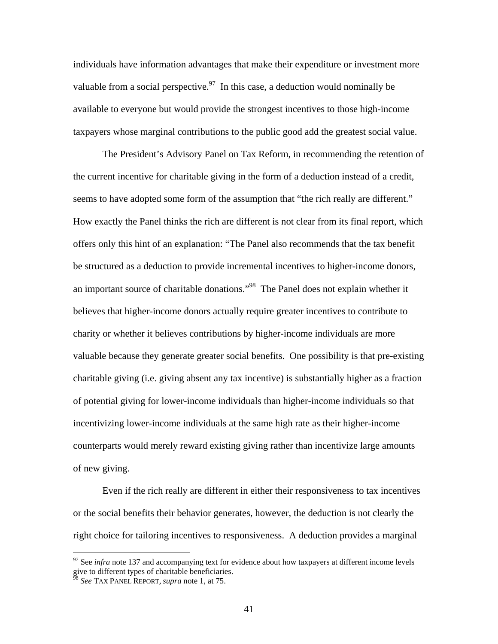individuals have information advantages that make their expenditure or investment more valuable from a social perspective.<sup>97</sup> In this case, a deduction would nominally be available to everyone but would provide the strongest incentives to those high-income taxpayers whose marginal contributions to the public good add the greatest social value.

 The President's Advisory Panel on Tax Reform, in recommending the retention of the current incentive for charitable giving in the form of a deduction instead of a credit, seems to have adopted some form of the assumption that "the rich really are different." How exactly the Panel thinks the rich are different is not clear from its final report, which offers only this hint of an explanation: "The Panel also recommends that the tax benefit be structured as a deduction to provide incremental incentives to higher-income donors, an important source of charitable donations."98 The Panel does not explain whether it believes that higher-income donors actually require greater incentives to contribute to charity or whether it believes contributions by higher-income individuals are more valuable because they generate greater social benefits. One possibility is that pre-existing charitable giving (i.e. giving absent any tax incentive) is substantially higher as a fraction of potential giving for lower-income individuals than higher-income individuals so that incentivizing lower-income individuals at the same high rate as their higher-income counterparts would merely reward existing giving rather than incentivize large amounts of new giving.

 Even if the rich really are different in either their responsiveness to tax incentives or the social benefits their behavior generates, however, the deduction is not clearly the right choice for tailoring incentives to responsiveness. A deduction provides a marginal

<sup>&</sup>lt;sup>97</sup> See *infra* note 137 and accompanying text for evidence about how taxpayers at different income levels give to different types of charitable beneficiaries.

<sup>98</sup> *See* TAX PANEL REPORT, *supra* note 1, at 75.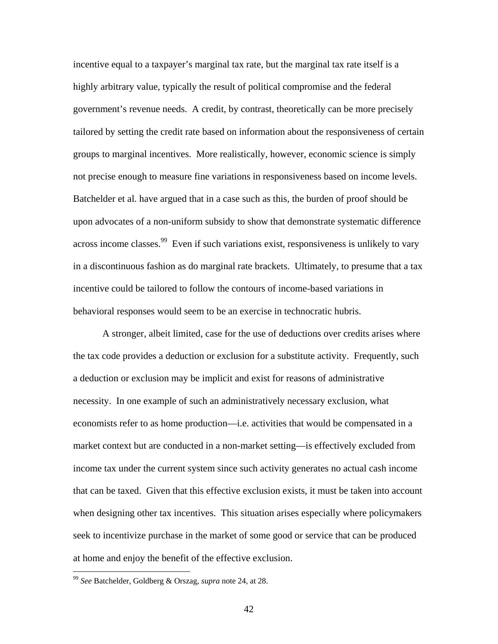incentive equal to a taxpayer's marginal tax rate, but the marginal tax rate itself is a highly arbitrary value, typically the result of political compromise and the federal government's revenue needs. A credit, by contrast, theoretically can be more precisely tailored by setting the credit rate based on information about the responsiveness of certain groups to marginal incentives. More realistically, however, economic science is simply not precise enough to measure fine variations in responsiveness based on income levels. Batchelder et al. have argued that in a case such as this, the burden of proof should be upon advocates of a non-uniform subsidy to show that demonstrate systematic difference across income classes.<sup>99</sup> Even if such variations exist, responsiveness is unlikely to vary in a discontinuous fashion as do marginal rate brackets. Ultimately, to presume that a tax incentive could be tailored to follow the contours of income-based variations in behavioral responses would seem to be an exercise in technocratic hubris.

 A stronger, albeit limited, case for the use of deductions over credits arises where the tax code provides a deduction or exclusion for a substitute activity. Frequently, such a deduction or exclusion may be implicit and exist for reasons of administrative necessity. In one example of such an administratively necessary exclusion, what economists refer to as home production—i.e. activities that would be compensated in a market context but are conducted in a non-market setting—is effectively excluded from income tax under the current system since such activity generates no actual cash income that can be taxed. Given that this effective exclusion exists, it must be taken into account when designing other tax incentives. This situation arises especially where policymakers seek to incentivize purchase in the market of some good or service that can be produced at home and enjoy the benefit of the effective exclusion.

<u>.</u>

<sup>99</sup> *See* Batchelder, Goldberg & Orszag, *supra* note 24, at 28.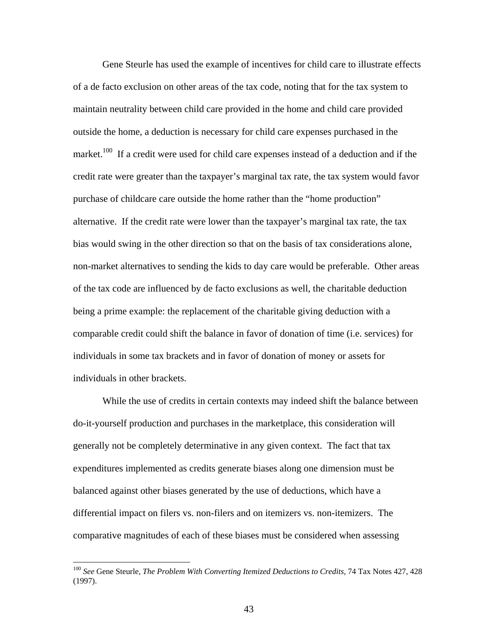Gene Steurle has used the example of incentives for child care to illustrate effects of a de facto exclusion on other areas of the tax code, noting that for the tax system to maintain neutrality between child care provided in the home and child care provided outside the home, a deduction is necessary for child care expenses purchased in the market.<sup>100</sup> If a credit were used for child care expenses instead of a deduction and if the credit rate were greater than the taxpayer's marginal tax rate, the tax system would favor purchase of childcare care outside the home rather than the "home production" alternative. If the credit rate were lower than the taxpayer's marginal tax rate, the tax bias would swing in the other direction so that on the basis of tax considerations alone, non-market alternatives to sending the kids to day care would be preferable. Other areas of the tax code are influenced by de facto exclusions as well, the charitable deduction being a prime example: the replacement of the charitable giving deduction with a comparable credit could shift the balance in favor of donation of time (i.e. services) for individuals in some tax brackets and in favor of donation of money or assets for individuals in other brackets.

While the use of credits in certain contexts may indeed shift the balance between do-it-yourself production and purchases in the marketplace, this consideration will generally not be completely determinative in any given context. The fact that tax expenditures implemented as credits generate biases along one dimension must be balanced against other biases generated by the use of deductions, which have a differential impact on filers vs. non-filers and on itemizers vs. non-itemizers. The comparative magnitudes of each of these biases must be considered when assessing

<sup>100</sup> *See* Gene Steurle, *The Problem With Converting Itemized Deductions to Credits*, 74 Tax Notes 427, 428 (1997).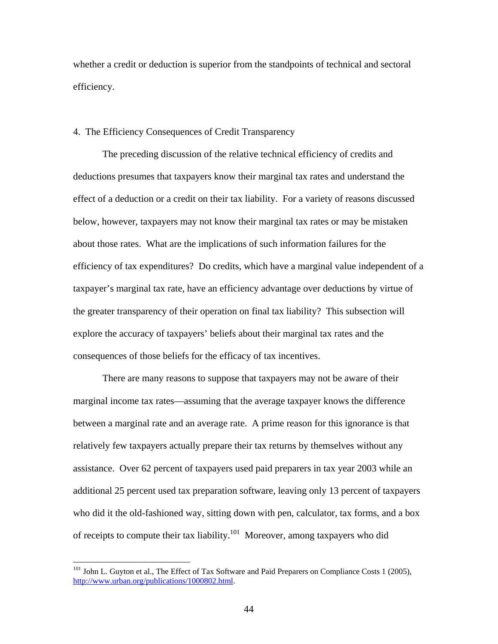whether a credit or deduction is superior from the standpoints of technical and sectoral efficiency.

# 4. The Efficiency Consequences of Credit Transparency

 The preceding discussion of the relative technical efficiency of credits and deductions presumes that taxpayers know their marginal tax rates and understand the effect of a deduction or a credit on their tax liability. For a variety of reasons discussed below, however, taxpayers may not know their marginal tax rates or may be mistaken about those rates. What are the implications of such information failures for the efficiency of tax expenditures? Do credits, which have a marginal value independent of a taxpayer's marginal tax rate, have an efficiency advantage over deductions by virtue of the greater transparency of their operation on final tax liability? This subsection will explore the accuracy of taxpayers' beliefs about their marginal tax rates and the consequences of those beliefs for the efficacy of tax incentives.

 There are many reasons to suppose that taxpayers may not be aware of their marginal income tax rates—assuming that the average taxpayer knows the difference between a marginal rate and an average rate. A prime reason for this ignorance is that relatively few taxpayers actually prepare their tax returns by themselves without any assistance. Over 62 percent of taxpayers used paid preparers in tax year 2003 while an additional 25 percent used tax preparation software, leaving only 13 percent of taxpayers who did it the old-fashioned way, sitting down with pen, calculator, tax forms, and a box of receipts to compute their tax liability.<sup>101</sup> Moreover, among taxpayers who did

<sup>&</sup>lt;sup>101</sup> John L. Guyton et al., The Effect of Tax Software and Paid Preparers on Compliance Costs 1 (2005), http://www.urban.org/publications/1000802.html.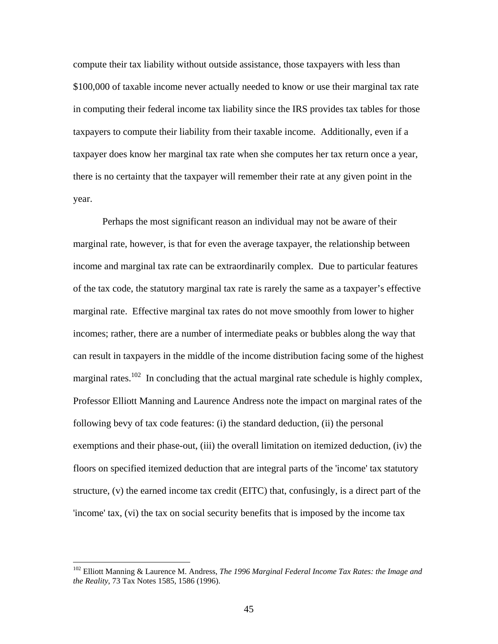compute their tax liability without outside assistance, those taxpayers with less than \$100,000 of taxable income never actually needed to know or use their marginal tax rate in computing their federal income tax liability since the IRS provides tax tables for those taxpayers to compute their liability from their taxable income. Additionally, even if a taxpayer does know her marginal tax rate when she computes her tax return once a year, there is no certainty that the taxpayer will remember their rate at any given point in the year.

 Perhaps the most significant reason an individual may not be aware of their marginal rate, however, is that for even the average taxpayer, the relationship between income and marginal tax rate can be extraordinarily complex. Due to particular features of the tax code, the statutory marginal tax rate is rarely the same as a taxpayer's effective marginal rate. Effective marginal tax rates do not move smoothly from lower to higher incomes; rather, there are a number of intermediate peaks or bubbles along the way that can result in taxpayers in the middle of the income distribution facing some of the highest marginal rates.<sup>102</sup> In concluding that the actual marginal rate schedule is highly complex, Professor Elliott Manning and Laurence Andress note the impact on marginal rates of the following bevy of tax code features: (i) the standard deduction, (ii) the personal exemptions and their phase-out, (iii) the overall limitation on itemized deduction, (iv) the floors on specified itemized deduction that are integral parts of the 'income' tax statutory structure, (v) the earned income tax credit (EITC) that, confusingly, is a direct part of the 'income' tax, (vi) the tax on social security benefits that is imposed by the income tax

<sup>102</sup> Elliott Manning & Laurence M. Andress, *The 1996 Marginal Federal Income Tax Rates: the Image and the Reality*, 73 Tax Notes 1585, 1586 (1996).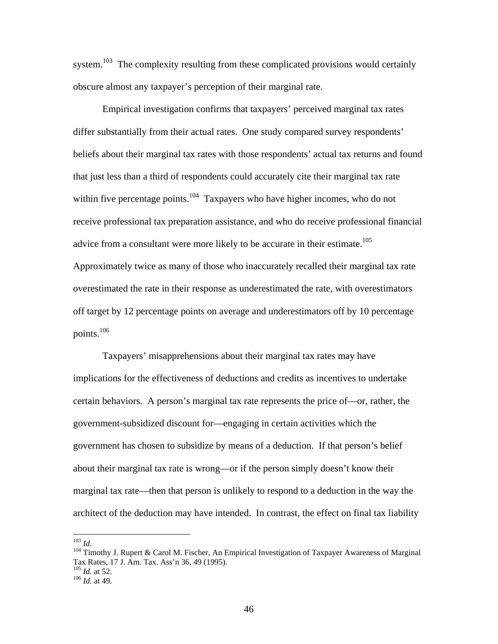system.<sup>103</sup> The complexity resulting from these complicated provisions would certainly obscure almost any taxpayer's perception of their marginal rate.

 Empirical investigation confirms that taxpayers' perceived marginal tax rates differ substantially from their actual rates. One study compared survey respondents' beliefs about their marginal tax rates with those respondents' actual tax returns and found that just less than a third of respondents could accurately cite their marginal tax rate within five percentage points.<sup>104</sup> Taxpayers who have higher incomes, who do not receive professional tax preparation assistance, and who do receive professional financial advice from a consultant were more likely to be accurate in their estimate.<sup>105</sup> Approximately twice as many of those who inaccurately recalled their marginal tax rate overestimated the rate in their response as underestimated the rate, with overestimators off target by 12 percentage points on average and underestimators off by 10 percentage points. $106$ 

Taxpayers' misapprehensions about their marginal tax rates may have implications for the effectiveness of deductions and credits as incentives to undertake certain behaviors. A person's marginal tax rate represents the price of—or, rather, the government-subsidized discount for—engaging in certain activities which the government has chosen to subsidize by means of a deduction. If that person's belief about their marginal tax rate is wrong—or if the person simply doesn't know their marginal tax rate—then that person is unlikely to respond to a deduction in the way the architect of the deduction may have intended. In contrast, the effect on final tax liability

 $103$  *Id.* 

<sup>&</sup>lt;sup>104</sup> Timothy J. Rupert & Carol M. Fischer, An Empirical Investigation of Taxpayer Awareness of Marginal Tax Rates, 17 J. Am. Tax. Ass'n 36, 49 (1995).<br><sup>105</sup> Id. at 52.

<sup>&</sup>lt;sup>106</sup> *Id.* at 49.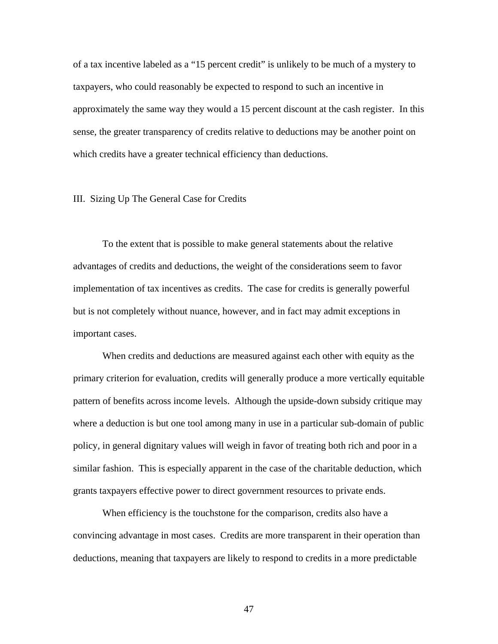of a tax incentive labeled as a "15 percent credit" is unlikely to be much of a mystery to taxpayers, who could reasonably be expected to respond to such an incentive in approximately the same way they would a 15 percent discount at the cash register. In this sense, the greater transparency of credits relative to deductions may be another point on which credits have a greater technical efficiency than deductions.

# III. Sizing Up The General Case for Credits

 To the extent that is possible to make general statements about the relative advantages of credits and deductions, the weight of the considerations seem to favor implementation of tax incentives as credits. The case for credits is generally powerful but is not completely without nuance, however, and in fact may admit exceptions in important cases.

When credits and deductions are measured against each other with equity as the primary criterion for evaluation, credits will generally produce a more vertically equitable pattern of benefits across income levels. Although the upside-down subsidy critique may where a deduction is but one tool among many in use in a particular sub-domain of public policy, in general dignitary values will weigh in favor of treating both rich and poor in a similar fashion. This is especially apparent in the case of the charitable deduction, which grants taxpayers effective power to direct government resources to private ends.

When efficiency is the touchstone for the comparison, credits also have a convincing advantage in most cases. Credits are more transparent in their operation than deductions, meaning that taxpayers are likely to respond to credits in a more predictable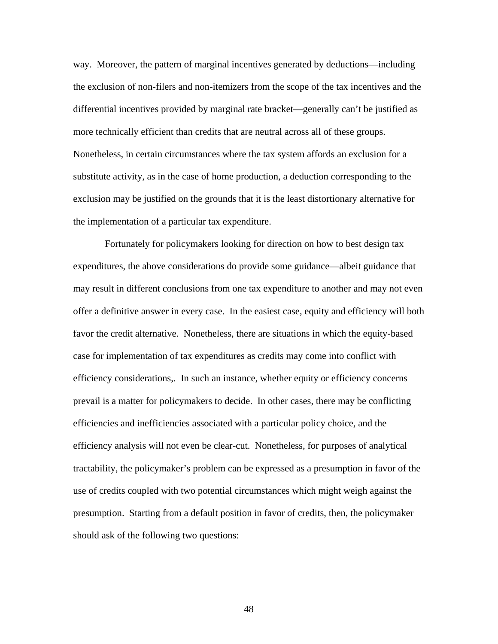way. Moreover, the pattern of marginal incentives generated by deductions—including the exclusion of non-filers and non-itemizers from the scope of the tax incentives and the differential incentives provided by marginal rate bracket—generally can't be justified as more technically efficient than credits that are neutral across all of these groups. Nonetheless, in certain circumstances where the tax system affords an exclusion for a substitute activity, as in the case of home production, a deduction corresponding to the exclusion may be justified on the grounds that it is the least distortionary alternative for the implementation of a particular tax expenditure.

 Fortunately for policymakers looking for direction on how to best design tax expenditures, the above considerations do provide some guidance—albeit guidance that may result in different conclusions from one tax expenditure to another and may not even offer a definitive answer in every case. In the easiest case, equity and efficiency will both favor the credit alternative. Nonetheless, there are situations in which the equity-based case for implementation of tax expenditures as credits may come into conflict with efficiency considerations,. In such an instance, whether equity or efficiency concerns prevail is a matter for policymakers to decide. In other cases, there may be conflicting efficiencies and inefficiencies associated with a particular policy choice, and the efficiency analysis will not even be clear-cut. Nonetheless, for purposes of analytical tractability, the policymaker's problem can be expressed as a presumption in favor of the use of credits coupled with two potential circumstances which might weigh against the presumption. Starting from a default position in favor of credits, then, the policymaker should ask of the following two questions: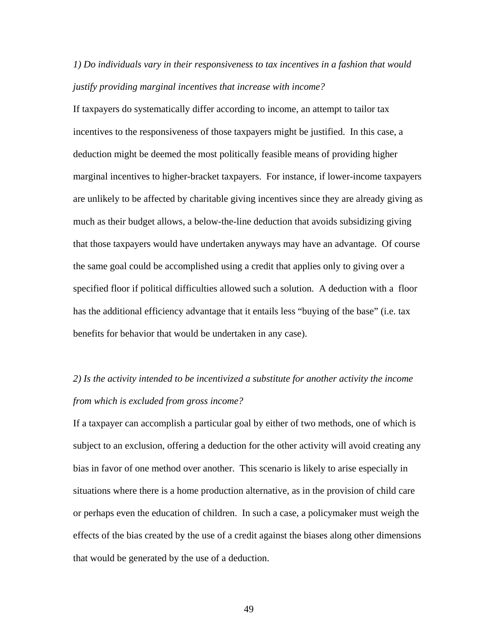# *1) Do individuals vary in their responsiveness to tax incentives in a fashion that would justify providing marginal incentives that increase with income?*

If taxpayers do systematically differ according to income, an attempt to tailor tax incentives to the responsiveness of those taxpayers might be justified. In this case, a deduction might be deemed the most politically feasible means of providing higher marginal incentives to higher-bracket taxpayers. For instance, if lower-income taxpayers are unlikely to be affected by charitable giving incentives since they are already giving as much as their budget allows, a below-the-line deduction that avoids subsidizing giving that those taxpayers would have undertaken anyways may have an advantage. Of course the same goal could be accomplished using a credit that applies only to giving over a specified floor if political difficulties allowed such a solution. A deduction with a floor has the additional efficiency advantage that it entails less "buying of the base" (i.e. tax benefits for behavior that would be undertaken in any case).

# *2) Is the activity intended to be incentivized a substitute for another activity the income from which is excluded from gross income?*

If a taxpayer can accomplish a particular goal by either of two methods, one of which is subject to an exclusion, offering a deduction for the other activity will avoid creating any bias in favor of one method over another. This scenario is likely to arise especially in situations where there is a home production alternative, as in the provision of child care or perhaps even the education of children. In such a case, a policymaker must weigh the effects of the bias created by the use of a credit against the biases along other dimensions that would be generated by the use of a deduction.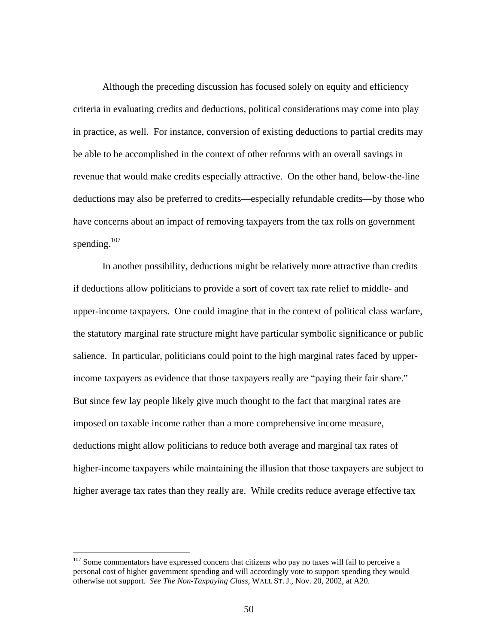Although the preceding discussion has focused solely on equity and efficiency criteria in evaluating credits and deductions, political considerations may come into play in practice, as well. For instance, conversion of existing deductions to partial credits may be able to be accomplished in the context of other reforms with an overall savings in revenue that would make credits especially attractive. On the other hand, below-the-line deductions may also be preferred to credits—especially refundable credits—by those who have concerns about an impact of removing taxpayers from the tax rolls on government spending. $107$ 

In another possibility, deductions might be relatively more attractive than credits if deductions allow politicians to provide a sort of covert tax rate relief to middle- and upper-income taxpayers. One could imagine that in the context of political class warfare, the statutory marginal rate structure might have particular symbolic significance or public salience. In particular, politicians could point to the high marginal rates faced by upperincome taxpayers as evidence that those taxpayers really are "paying their fair share." But since few lay people likely give much thought to the fact that marginal rates are imposed on taxable income rather than a more comprehensive income measure, deductions might allow politicians to reduce both average and marginal tax rates of higher-income taxpayers while maintaining the illusion that those taxpayers are subject to higher average tax rates than they really are. While credits reduce average effective tax

<sup>&</sup>lt;sup>107</sup> Some commentators have expressed concern that citizens who pay no taxes will fail to perceive a personal cost of higher government spending and will accordingly vote to support spending they would otherwise not support. *See The Non-Taxpaying Class*, WALL ST. J., Nov. 20, 2002, at A20.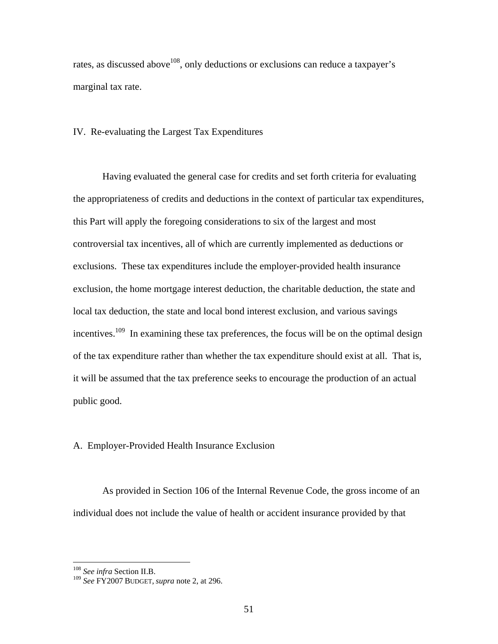rates, as discussed above<sup>108</sup>, only deductions or exclusions can reduce a taxpayer's marginal tax rate.

## IV. Re-evaluating the Largest Tax Expenditures

Having evaluated the general case for credits and set forth criteria for evaluating the appropriateness of credits and deductions in the context of particular tax expenditures, this Part will apply the foregoing considerations to six of the largest and most controversial tax incentives, all of which are currently implemented as deductions or exclusions. These tax expenditures include the employer-provided health insurance exclusion, the home mortgage interest deduction, the charitable deduction, the state and local tax deduction, the state and local bond interest exclusion, and various savings incentives.<sup>109</sup> In examining these tax preferences, the focus will be on the optimal design of the tax expenditure rather than whether the tax expenditure should exist at all. That is, it will be assumed that the tax preference seeks to encourage the production of an actual public good.

# A. Employer-Provided Health Insurance Exclusion

 As provided in Section 106 of the Internal Revenue Code, the gross income of an individual does not include the value of health or accident insurance provided by that

<sup>108</sup> *See infra* Section II.B.

<sup>109</sup> *See* FY2007 BUDGET, *supra* note 2, at 296.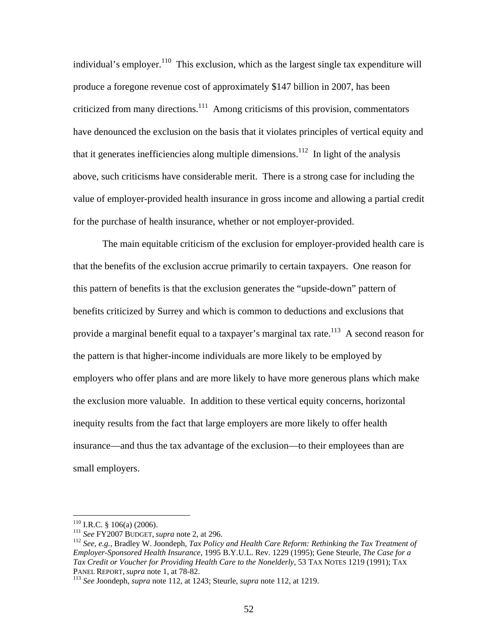individual's employer. $110$  This exclusion, which as the largest single tax expenditure will produce a foregone revenue cost of approximately \$147 billion in 2007, has been criticized from many directions.<sup>111</sup> Among criticisms of this provision, commentators have denounced the exclusion on the basis that it violates principles of vertical equity and that it generates inefficiencies along multiple dimensions.<sup>112</sup> In light of the analysis above, such criticisms have considerable merit. There is a strong case for including the value of employer-provided health insurance in gross income and allowing a partial credit for the purchase of health insurance, whether or not employer-provided.

 The main equitable criticism of the exclusion for employer-provided health care is that the benefits of the exclusion accrue primarily to certain taxpayers. One reason for this pattern of benefits is that the exclusion generates the "upside-down" pattern of benefits criticized by Surrey and which is common to deductions and exclusions that provide a marginal benefit equal to a taxpayer's marginal tax rate.<sup>113</sup> A second reason for the pattern is that higher-income individuals are more likely to be employed by employers who offer plans and are more likely to have more generous plans which make the exclusion more valuable. In addition to these vertical equity concerns, horizontal inequity results from the fact that large employers are more likely to offer health insurance—and thus the tax advantage of the exclusion—to their employees than are small employers.

 $110$  I.R.C. § 106(a) (2006).

<sup>&</sup>lt;sup>111</sup> See FY2007 BUDGET, *supra* note 2, at 296.<br><sup>112</sup> See, e.g., Bradley W. Joondeph, *Tax Policy and Health Care Reform: Rethinking the Tax Treatment of Employer-Sponsored Health Insurance*, 1995 B.Y.U.L. Rev. 1229 (1995); Gene Steurle, *The Case for a Tax Credit or Voucher for Providing Health Care to the Nonelderly*, 53 TAX NOTES 1219 (1991); TAX PANEL REPORT, *supra* note 1, at 78-82.

<sup>&</sup>lt;sup>113</sup> See Joondeph, *supra* note 112, at 1243; Steurle, *supra* note 112, at 1219.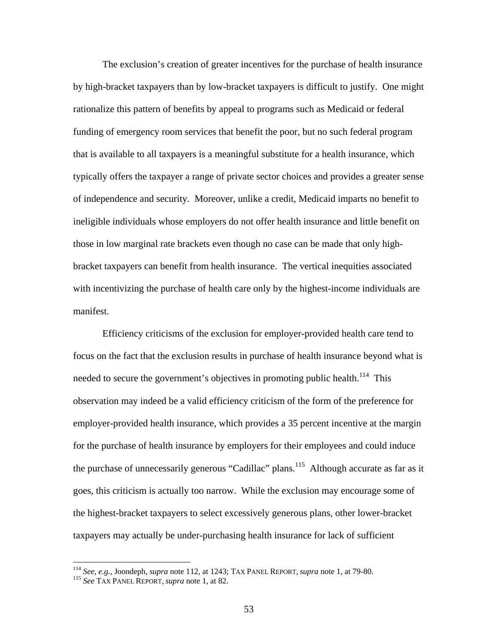The exclusion's creation of greater incentives for the purchase of health insurance by high-bracket taxpayers than by low-bracket taxpayers is difficult to justify. One might rationalize this pattern of benefits by appeal to programs such as Medicaid or federal funding of emergency room services that benefit the poor, but no such federal program that is available to all taxpayers is a meaningful substitute for a health insurance, which typically offers the taxpayer a range of private sector choices and provides a greater sense of independence and security. Moreover, unlike a credit, Medicaid imparts no benefit to ineligible individuals whose employers do not offer health insurance and little benefit on those in low marginal rate brackets even though no case can be made that only highbracket taxpayers can benefit from health insurance. The vertical inequities associated with incentivizing the purchase of health care only by the highest-income individuals are manifest.

 Efficiency criticisms of the exclusion for employer-provided health care tend to focus on the fact that the exclusion results in purchase of health insurance beyond what is needed to secure the government's objectives in promoting public health.<sup>114</sup> This observation may indeed be a valid efficiency criticism of the form of the preference for employer-provided health insurance, which provides a 35 percent incentive at the margin for the purchase of health insurance by employers for their employees and could induce the purchase of unnecessarily generous "Cadillac" plans.<sup>115</sup> Although accurate as far as it goes, this criticism is actually too narrow. While the exclusion may encourage some of the highest-bracket taxpayers to select excessively generous plans, other lower-bracket taxpayers may actually be under-purchasing health insurance for lack of sufficient

<sup>114</sup> *See, e.g.*, Joondeph, *supra* note 112, at 1243; TAX PANEL REPORT, *supra* note 1, at 79-80. 115 *See* TAX PANEL REPORT, *supra* note 1, at 82.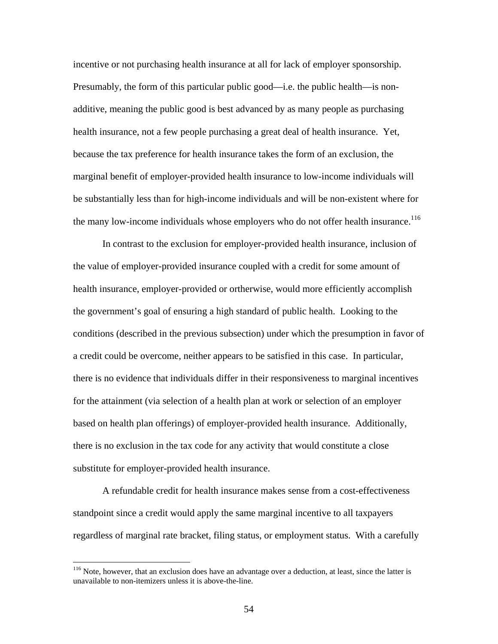incentive or not purchasing health insurance at all for lack of employer sponsorship. Presumably, the form of this particular public good—i.e. the public health—is nonadditive, meaning the public good is best advanced by as many people as purchasing health insurance, not a few people purchasing a great deal of health insurance. Yet, because the tax preference for health insurance takes the form of an exclusion, the marginal benefit of employer-provided health insurance to low-income individuals will be substantially less than for high-income individuals and will be non-existent where for the many low-income individuals whose employers who do not offer health insurance.<sup>116</sup>

 In contrast to the exclusion for employer-provided health insurance, inclusion of the value of employer-provided insurance coupled with a credit for some amount of health insurance, employer-provided or ortherwise, would more efficiently accomplish the government's goal of ensuring a high standard of public health. Looking to the conditions (described in the previous subsection) under which the presumption in favor of a credit could be overcome, neither appears to be satisfied in this case. In particular, there is no evidence that individuals differ in their responsiveness to marginal incentives for the attainment (via selection of a health plan at work or selection of an employer based on health plan offerings) of employer-provided health insurance. Additionally, there is no exclusion in the tax code for any activity that would constitute a close substitute for employer-provided health insurance.

A refundable credit for health insurance makes sense from a cost-effectiveness standpoint since a credit would apply the same marginal incentive to all taxpayers regardless of marginal rate bracket, filing status, or employment status. With a carefully

<sup>&</sup>lt;sup>116</sup> Note, however, that an exclusion does have an advantage over a deduction, at least, since the latter is unavailable to non-itemizers unless it is above-the-line.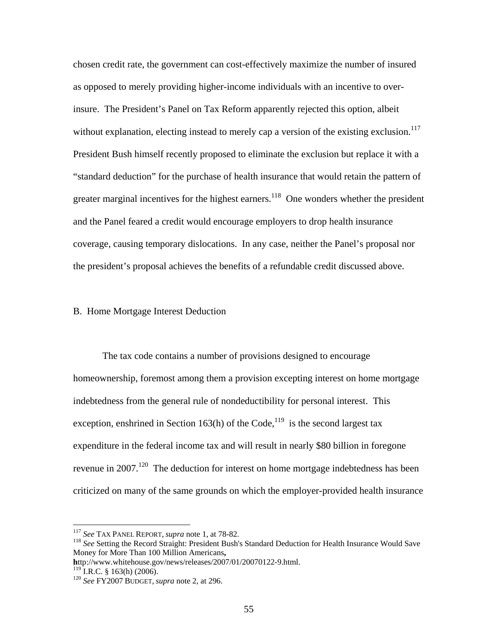chosen credit rate, the government can cost-effectively maximize the number of insured as opposed to merely providing higher-income individuals with an incentive to overinsure. The President's Panel on Tax Reform apparently rejected this option, albeit without explanation, electing instead to merely cap a version of the existing exclusion.<sup>117</sup> President Bush himself recently proposed to eliminate the exclusion but replace it with a "standard deduction" for the purchase of health insurance that would retain the pattern of greater marginal incentives for the highest earners.<sup>118</sup> One wonders whether the president and the Panel feared a credit would encourage employers to drop health insurance coverage, causing temporary dislocations. In any case, neither the Panel's proposal nor the president's proposal achieves the benefits of a refundable credit discussed above.

# B. Home Mortgage Interest Deduction

 The tax code contains a number of provisions designed to encourage homeownership, foremost among them a provision excepting interest on home mortgage indebtedness from the general rule of nondeductibility for personal interest. This exception, enshrined in Section 163(h) of the Code,<sup>119</sup> is the second largest tax expenditure in the federal income tax and will result in nearly \$80 billion in foregone revenue in 2007.<sup>120</sup> The deduction for interest on home mortgage indebtedness has been criticized on many of the same grounds on which the employer-provided health insurance

<sup>&</sup>lt;sup>117</sup> See TAX PANEL REPORT, supra note 1, at 78-82.

<sup>&</sup>lt;sup>118</sup> See Setting the Record Straight: President Bush's Standard Deduction for Health Insurance Would Save Money for More Than 100 Million Americans**,** 

**h**ttp://www.whitehouse.gov/news/releases/2007/01/20070122-9.html.

<sup>119</sup> I.R.C. § 163(h) (2006). 120 *See* FY2007 BUDGET, *supra* note 2, at 296.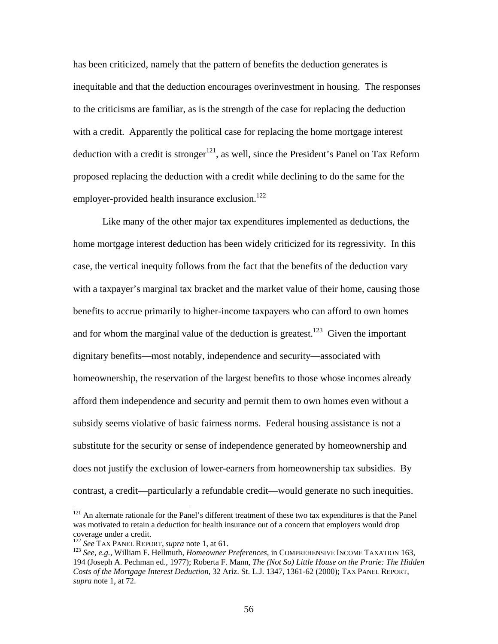has been criticized, namely that the pattern of benefits the deduction generates is inequitable and that the deduction encourages overinvestment in housing. The responses to the criticisms are familiar, as is the strength of the case for replacing the deduction with a credit. Apparently the political case for replacing the home mortgage interest deduction with a credit is stronger<sup>121</sup>, as well, since the President's Panel on Tax Reform proposed replacing the deduction with a credit while declining to do the same for the employer-provided health insurance exclusion.<sup>122</sup>

 Like many of the other major tax expenditures implemented as deductions, the home mortgage interest deduction has been widely criticized for its regressivity. In this case, the vertical inequity follows from the fact that the benefits of the deduction vary with a taxpayer's marginal tax bracket and the market value of their home, causing those benefits to accrue primarily to higher-income taxpayers who can afford to own homes and for whom the marginal value of the deduction is greatest.<sup>123</sup> Given the important dignitary benefits—most notably, independence and security—associated with homeownership, the reservation of the largest benefits to those whose incomes already afford them independence and security and permit them to own homes even without a subsidy seems violative of basic fairness norms. Federal housing assistance is not a substitute for the security or sense of independence generated by homeownership and does not justify the exclusion of lower-earners from homeownership tax subsidies. By contrast, a credit—particularly a refundable credit—would generate no such inequities.

<sup>&</sup>lt;sup>121</sup> An alternate rationale for the Panel's different treatment of these two tax expenditures is that the Panel was motivated to retain a deduction for health insurance out of a concern that employers would drop coverage under a credit.<br><sup>122</sup> See TAX PANEL REPORT, supra note 1, at 61.

<sup>&</sup>lt;sup>123</sup> See, e.g., William F. Hellmuth, *Homeowner Preferences*, in COMPREHENSIVE INCOME TAXATION 163, 194 (Joseph A. Pechman ed., 1977); Roberta F. Mann, *The (Not So) Little House on the Prarie: The Hidden Costs of the Mortgage Interest Deduction*, 32 Ariz. St. L.J. 1347, 1361-62 (2000); TAX PANEL REPORT, *supra* note 1, at 72.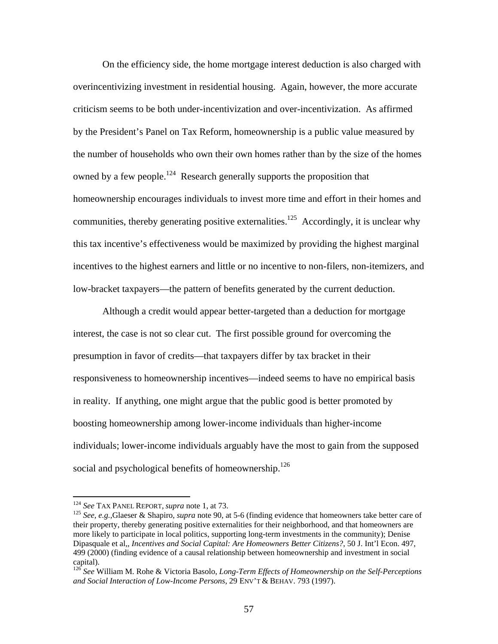On the efficiency side, the home mortgage interest deduction is also charged with overincentivizing investment in residential housing. Again, however, the more accurate criticism seems to be both under-incentivization and over-incentivization. As affirmed by the President's Panel on Tax Reform, homeownership is a public value measured by the number of households who own their own homes rather than by the size of the homes owned by a few people.<sup>124</sup> Research generally supports the proposition that homeownership encourages individuals to invest more time and effort in their homes and communities, thereby generating positive externalities.<sup>125</sup> Accordingly, it is unclear why this tax incentive's effectiveness would be maximized by providing the highest marginal incentives to the highest earners and little or no incentive to non-filers, non-itemizers, and low-bracket taxpayers—the pattern of benefits generated by the current deduction.

Although a credit would appear better-targeted than a deduction for mortgage interest, the case is not so clear cut. The first possible ground for overcoming the presumption in favor of credits—that taxpayers differ by tax bracket in their responsiveness to homeownership incentives—indeed seems to have no empirical basis in reality. If anything, one might argue that the public good is better promoted by boosting homeownership among lower-income individuals than higher-income individuals; lower-income individuals arguably have the most to gain from the supposed social and psychological benefits of homeownership.<sup>126</sup>

<sup>&</sup>lt;sup>124</sup> *See* TAX PANEL REPORT, *supra* note 1, at 73.<br><sup>125</sup> *See, e.g.*,Glaeser & Shapiro, *supra* note 90, at 5-6 (finding evidence that homeowners take better care of their property, thereby generating positive externalities for their neighborhood, and that homeowners are more likely to participate in local politics, supporting long-term investments in the community); Denise Dipasquale et al,, *Incentives and Social Capital: Are Homeowners Better Citizens?*, 50 J. Int'l Econ. 497, 499 (2000) (finding evidence of a causal relationship between homeownership and investment in social capital).

<sup>126</sup> *See* William M. Rohe & Victoria Basolo, *Long-Term Effects of Homeownership on the Self-Perceptions and Social Interaction of Low-Income Persons*, 29 ENV'T & BEHAV. 793 (1997).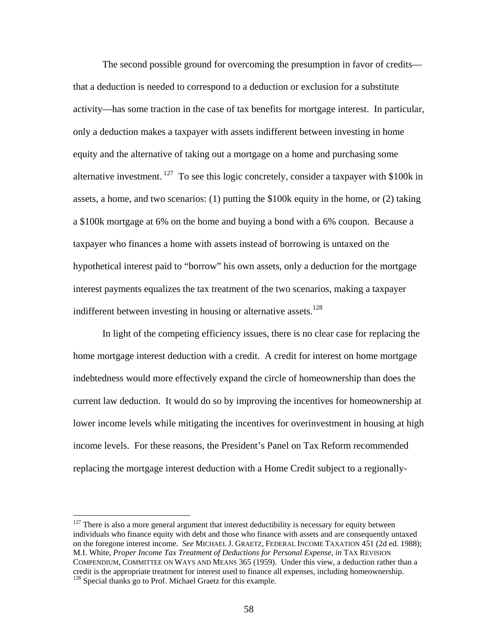The second possible ground for overcoming the presumption in favor of credits that a deduction is needed to correspond to a deduction or exclusion for a substitute activity—has some traction in the case of tax benefits for mortgage interest. In particular, only a deduction makes a taxpayer with assets indifferent between investing in home equity and the alternative of taking out a mortgage on a home and purchasing some alternative investment.  $127$  To see this logic concretely, consider a taxpayer with \$100k in assets, a home, and two scenarios: (1) putting the \$100k equity in the home, or (2) taking a \$100k mortgage at 6% on the home and buying a bond with a 6% coupon. Because a taxpayer who finances a home with assets instead of borrowing is untaxed on the hypothetical interest paid to "borrow" his own assets, only a deduction for the mortgage interest payments equalizes the tax treatment of the two scenarios, making a taxpayer indifferent between investing in housing or alternative assets.<sup>128</sup>

In light of the competing efficiency issues, there is no clear case for replacing the home mortgage interest deduction with a credit. A credit for interest on home mortgage indebtedness would more effectively expand the circle of homeownership than does the current law deduction. It would do so by improving the incentives for homeownership at lower income levels while mitigating the incentives for overinvestment in housing at high income levels. For these reasons, the President's Panel on Tax Reform recommended replacing the mortgage interest deduction with a Home Credit subject to a regionally-

 $127$  There is also a more general argument that interest deductibility is necessary for equity between individuals who finance equity with debt and those who finance with assets and are consequently untaxed on the foregone interest income. *See* MICHAEL J. GRAETZ, FEDERAL INCOME TAXATION 451 (2d ed. 1988); M.I. White, *Proper Income Tax Treatment of Deductions for Personal Expense*, *in* TAX REVISION COMPENDIUM, COMMITTEE ON WAYS AND MEANS 365 (1959). Under this view, a deduction rather than a credit is the appropriate treatment for interest used to finance all expenses, including homeownership. 128 Special thanks go to Prof. Michael Graetz for this example.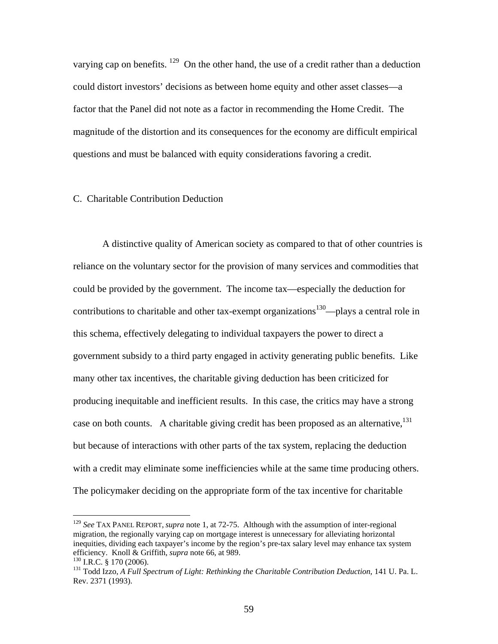varying cap on benefits. <sup>129</sup> On the other hand, the use of a credit rather than a deduction could distort investors' decisions as between home equity and other asset classes—a factor that the Panel did not note as a factor in recommending the Home Credit. The magnitude of the distortion and its consequences for the economy are difficult empirical questions and must be balanced with equity considerations favoring a credit.

## C. Charitable Contribution Deduction

 A distinctive quality of American society as compared to that of other countries is reliance on the voluntary sector for the provision of many services and commodities that could be provided by the government. The income tax—especially the deduction for contributions to charitable and other tax-exempt organizations<sup>130</sup>—plays a central role in this schema, effectively delegating to individual taxpayers the power to direct a government subsidy to a third party engaged in activity generating public benefits. Like many other tax incentives, the charitable giving deduction has been criticized for producing inequitable and inefficient results. In this case, the critics may have a strong case on both counts. A charitable giving credit has been proposed as an alternative,  $^{131}$ but because of interactions with other parts of the tax system, replacing the deduction with a credit may eliminate some inefficiencies while at the same time producing others. The policymaker deciding on the appropriate form of the tax incentive for charitable

<u>.</u>

<sup>129</sup> *See* TAX PANEL REPORT, *supra* note 1, at 72-75. Although with the assumption of inter-regional migration, the regionally varying cap on mortgage interest is unnecessary for alleviating horizontal inequities, dividing each taxpayer's income by the region's pre-tax salary level may enhance tax system efficiency. Knoll & Griffith, *supra* note 66, at 989.<br><sup>130</sup> I.R.C. § 170 (2006).<br><sup>131</sup> Todd Izzo, *A Full Spectrum of Light: Rethinking the Charitable Contribution Deduction*, 141 U. Pa. L.

Rev. 2371 (1993).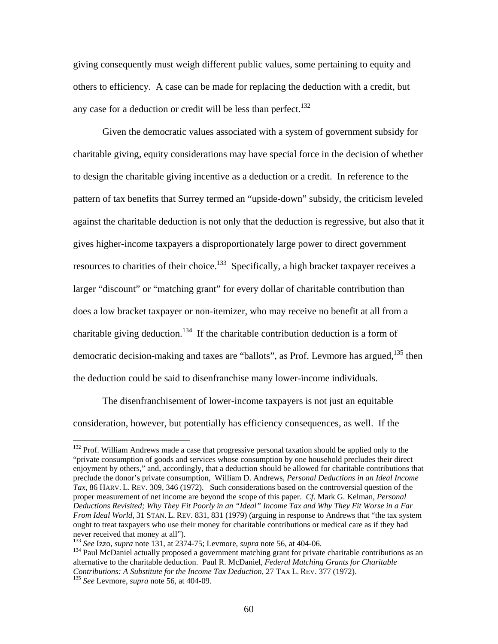giving consequently must weigh different public values, some pertaining to equity and others to efficiency. A case can be made for replacing the deduction with a credit, but any case for a deduction or credit will be less than perfect.<sup>132</sup>

 Given the democratic values associated with a system of government subsidy for charitable giving, equity considerations may have special force in the decision of whether to design the charitable giving incentive as a deduction or a credit. In reference to the pattern of tax benefits that Surrey termed an "upside-down" subsidy, the criticism leveled against the charitable deduction is not only that the deduction is regressive, but also that it gives higher-income taxpayers a disproportionately large power to direct government resources to charities of their choice.<sup>133</sup> Specifically, a high bracket taxpayer receives a larger "discount" or "matching grant" for every dollar of charitable contribution than does a low bracket taxpayer or non-itemizer, who may receive no benefit at all from a charitable giving deduction.<sup>134</sup> If the charitable contribution deduction is a form of democratic decision-making and taxes are "ballots", as Prof. Levmore has argued, $135$  then the deduction could be said to disenfranchise many lower-income individuals.

 The disenfranchisement of lower-income taxpayers is not just an equitable consideration, however, but potentially has efficiency consequences, as well. If the

<sup>&</sup>lt;sup>132</sup> Prof. William Andrews made a case that progressive personal taxation should be applied only to the "private consumption of goods and services whose consumption by one household precludes their direct enjoyment by others," and, accordingly, that a deduction should be allowed for charitable contributions that preclude the donor's private consumption, William D. Andrews, *Personal Deductions in an Ideal Income Tax*, 86 HARV. L. REV. 309, 346 (1972). Such considerations based on the controversial question of the proper measurement of net income are beyond the scope of this paper. *Cf*. Mark G. Kelman, *Personal Deductions Revisited; Why They Fit Poorly in an "Ideal" Income Tax and Why They Fit Worse in a Far From Ideal World*, 31 STAN. L. REV. 831, 831 (1979) (arguing in response to Andrews that "the tax system ought to treat taxpayers who use their money for charitable contributions or medical care as if they had never received that money at all").<br>
<sup>133</sup> See Izzo, *supra* note 131, at 2374-75; Levmore, *supra* note 56, at 404-06.

<sup>&</sup>lt;sup>134</sup> Paul McDaniel actually proposed a government matching grant for private charitable contributions as an alternative to the charitable deduction. Paul R. McDaniel, *Federal Matching Grants for Charitable Contributions: A Substitute for the Income Tax Deduction*, 27 TAX L. REV. 377 (1972). 135 *See* Levmore, *supra* note 56, at 404-09.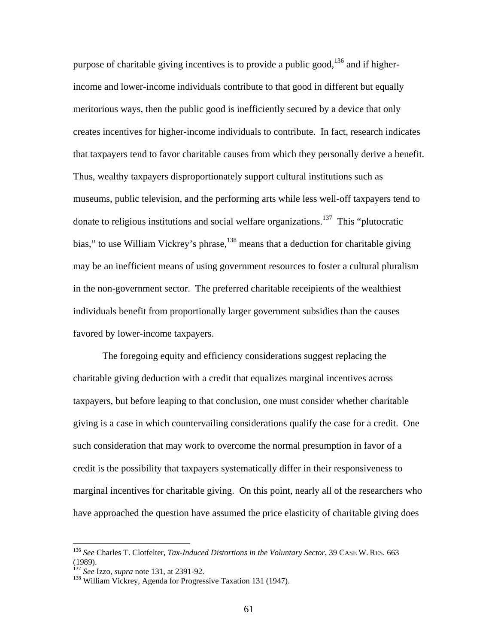purpose of charitable giving incentives is to provide a public good,  $136$  and if higherincome and lower-income individuals contribute to that good in different but equally meritorious ways, then the public good is inefficiently secured by a device that only creates incentives for higher-income individuals to contribute. In fact, research indicates that taxpayers tend to favor charitable causes from which they personally derive a benefit. Thus, wealthy taxpayers disproportionately support cultural institutions such as museums, public television, and the performing arts while less well-off taxpayers tend to donate to religious institutions and social welfare organizations.<sup>137</sup> This "plutocratic bias," to use William Vickrey's phrase, $138$  means that a deduction for charitable giving may be an inefficient means of using government resources to foster a cultural pluralism in the non-government sector. The preferred charitable receipients of the wealthiest individuals benefit from proportionally larger government subsidies than the causes favored by lower-income taxpayers.

 The foregoing equity and efficiency considerations suggest replacing the charitable giving deduction with a credit that equalizes marginal incentives across taxpayers, but before leaping to that conclusion, one must consider whether charitable giving is a case in which countervailing considerations qualify the case for a credit. One such consideration that may work to overcome the normal presumption in favor of a credit is the possibility that taxpayers systematically differ in their responsiveness to marginal incentives for charitable giving. On this point, nearly all of the researchers who have approached the question have assumed the price elasticity of charitable giving does

<sup>136</sup> *See* Charles T. Clotfelter, *Tax-Induced Distortions in the Voluntary Sector*, 39 CASE W. RES. 663 (1989).<br><sup>137</sup> See Izzo, supra note 131, at 2391-92.

<sup>&</sup>lt;sup>138</sup> William Vickrey, Agenda for Progressive Taxation 131 (1947).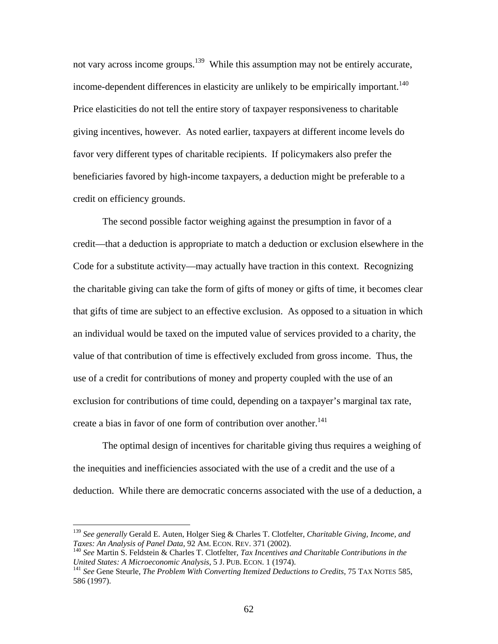not vary across income groups.<sup>139</sup> While this assumption may not be entirely accurate, income-dependent differences in elasticity are unlikely to be empirically important.<sup>140</sup> Price elasticities do not tell the entire story of taxpayer responsiveness to charitable giving incentives, however. As noted earlier, taxpayers at different income levels do favor very different types of charitable recipients. If policymakers also prefer the beneficiaries favored by high-income taxpayers, a deduction might be preferable to a credit on efficiency grounds.

 The second possible factor weighing against the presumption in favor of a credit—that a deduction is appropriate to match a deduction or exclusion elsewhere in the Code for a substitute activity—may actually have traction in this context. Recognizing the charitable giving can take the form of gifts of money or gifts of time, it becomes clear that gifts of time are subject to an effective exclusion. As opposed to a situation in which an individual would be taxed on the imputed value of services provided to a charity, the value of that contribution of time is effectively excluded from gross income. Thus, the use of a credit for contributions of money and property coupled with the use of an exclusion for contributions of time could, depending on a taxpayer's marginal tax rate, create a bias in favor of one form of contribution over another.<sup>141</sup>

 The optimal design of incentives for charitable giving thus requires a weighing of the inequities and inefficiencies associated with the use of a credit and the use of a deduction. While there are democratic concerns associated with the use of a deduction, a

<sup>139</sup> *See generally* Gerald E. Auten, Holger Sieg & Charles T. Clotfelter, *Charitable Giving, Income, and* 

*Taxes: An Analysis of Panel Data*, 92 AM. ECON. REV. 371 (2002).<br><sup>140</sup> *See* Martin S. Feldstein & Charles T. Clotfelter, *Tax Incentives and Charitable Contributions in the United States: A Microeconomic Analysis, 5 J. P* 

<sup>&</sup>lt;sup>141</sup> See Gene Steurle, *The Problem With Converting Itemized Deductions to Credits*, 75 TAX NOTES 585, 586 (1997).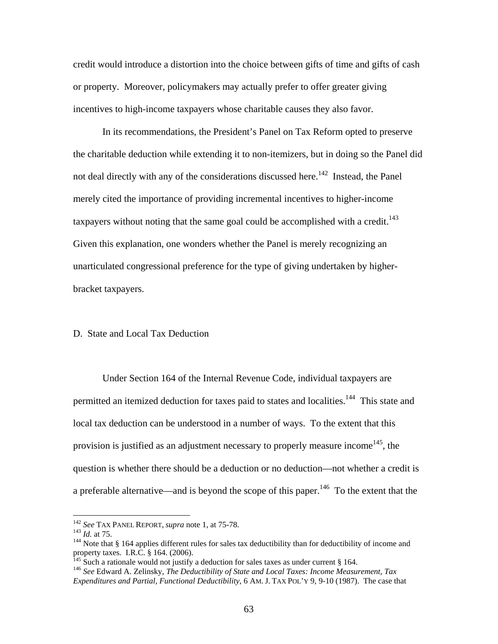credit would introduce a distortion into the choice between gifts of time and gifts of cash or property. Moreover, policymakers may actually prefer to offer greater giving incentives to high-income taxpayers whose charitable causes they also favor.

In its recommendations, the President's Panel on Tax Reform opted to preserve the charitable deduction while extending it to non-itemizers, but in doing so the Panel did not deal directly with any of the considerations discussed here.<sup>142</sup> Instead, the Panel merely cited the importance of providing incremental incentives to higher-income taxpayers without noting that the same goal could be accomplished with a credit.<sup>143</sup> Given this explanation, one wonders whether the Panel is merely recognizing an unarticulated congressional preference for the type of giving undertaken by higherbracket taxpayers.

## D. State and Local Tax Deduction

 Under Section 164 of the Internal Revenue Code, individual taxpayers are permitted an itemized deduction for taxes paid to states and localities.<sup>144</sup> This state and local tax deduction can be understood in a number of ways. To the extent that this provision is justified as an adjustment necessary to properly measure income<sup>145</sup>, the question is whether there should be a deduction or no deduction—not whether a credit is a preferable alternative—and is beyond the scope of this paper.<sup>146</sup> To the extent that the

<sup>&</sup>lt;sup>142</sup> See TAX PANEL REPORT, supra note 1, at 75-78.

<sup>143</sup> *Id.* at 75.<br><sup>143</sup> *Id.* at 75. 144 Note that § 164 applies different rules for sales tax deductibility than for deductibility of income and property taxes. I.R.C. § 164. (2006).<br><sup>145</sup> Such a rationale would not justify a deduction for sales taxes as under current § 164.

<sup>&</sup>lt;sup>146</sup> See Edward A. Zelinsky, *The Deductibility of State and Local Taxes: Income Measurement, Tax Expenditures and Partial, Functional Deductibility*, 6 AM. J. TAX POL'Y 9, 9-10 (1987). The case that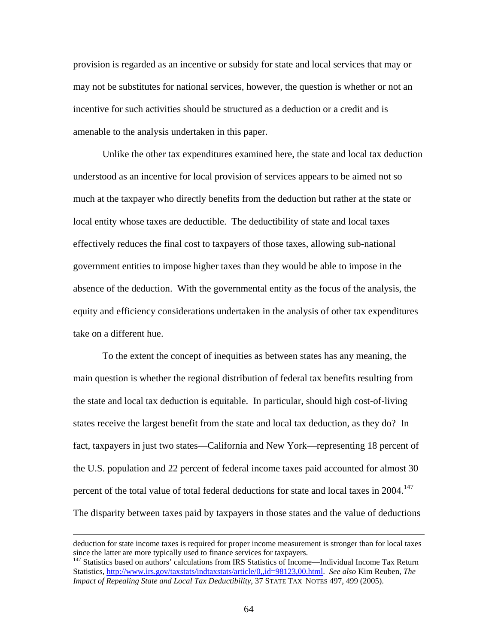provision is regarded as an incentive or subsidy for state and local services that may or may not be substitutes for national services, however, the question is whether or not an incentive for such activities should be structured as a deduction or a credit and is amenable to the analysis undertaken in this paper.

 Unlike the other tax expenditures examined here, the state and local tax deduction understood as an incentive for local provision of services appears to be aimed not so much at the taxpayer who directly benefits from the deduction but rather at the state or local entity whose taxes are deductible. The deductibility of state and local taxes effectively reduces the final cost to taxpayers of those taxes, allowing sub-national government entities to impose higher taxes than they would be able to impose in the absence of the deduction. With the governmental entity as the focus of the analysis, the equity and efficiency considerations undertaken in the analysis of other tax expenditures take on a different hue.

 To the extent the concept of inequities as between states has any meaning, the main question is whether the regional distribution of federal tax benefits resulting from the state and local tax deduction is equitable. In particular, should high cost-of-living states receive the largest benefit from the state and local tax deduction, as they do? In fact, taxpayers in just two states—California and New York—representing 18 percent of the U.S. population and 22 percent of federal income taxes paid accounted for almost 30 percent of the total value of total federal deductions for state and local taxes in 2004.<sup>147</sup> The disparity between taxes paid by taxpayers in those states and the value of deductions

deduction for state income taxes is required for proper income measurement is stronger than for local taxes since the latter are more typically used to finance services for taxpayers.

<sup>&</sup>lt;sup>147</sup> Statistics based on authors' calculations from IRS Statistics of Income—Individual Income Tax Return Statistics, http://www.irs.gov/taxstats/indtaxstats/article/0,,id=98123,00.html. *See also* Kim Reuben, *The Impact of Repealing State and Local Tax Deductibility*, 37 STATE TAX NOTES 497, 499 (2005).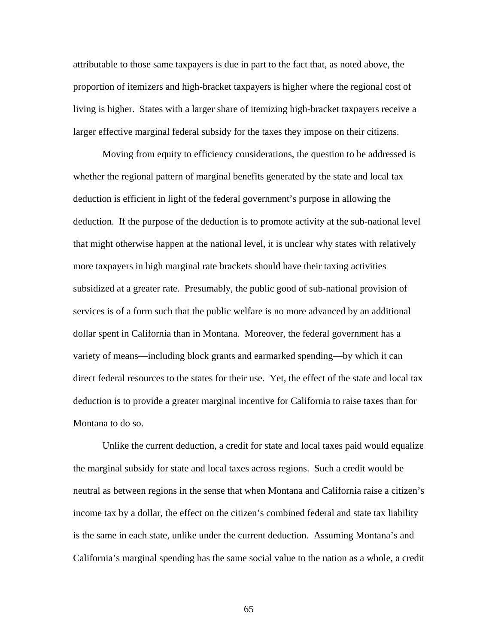attributable to those same taxpayers is due in part to the fact that, as noted above, the proportion of itemizers and high-bracket taxpayers is higher where the regional cost of living is higher. States with a larger share of itemizing high-bracket taxpayers receive a larger effective marginal federal subsidy for the taxes they impose on their citizens.

 Moving from equity to efficiency considerations, the question to be addressed is whether the regional pattern of marginal benefits generated by the state and local tax deduction is efficient in light of the federal government's purpose in allowing the deduction. If the purpose of the deduction is to promote activity at the sub-national level that might otherwise happen at the national level, it is unclear why states with relatively more taxpayers in high marginal rate brackets should have their taxing activities subsidized at a greater rate. Presumably, the public good of sub-national provision of services is of a form such that the public welfare is no more advanced by an additional dollar spent in California than in Montana. Moreover, the federal government has a variety of means—including block grants and earmarked spending—by which it can direct federal resources to the states for their use. Yet, the effect of the state and local tax deduction is to provide a greater marginal incentive for California to raise taxes than for Montana to do so.

 Unlike the current deduction, a credit for state and local taxes paid would equalize the marginal subsidy for state and local taxes across regions. Such a credit would be neutral as between regions in the sense that when Montana and California raise a citizen's income tax by a dollar, the effect on the citizen's combined federal and state tax liability is the same in each state, unlike under the current deduction. Assuming Montana's and California's marginal spending has the same social value to the nation as a whole, a credit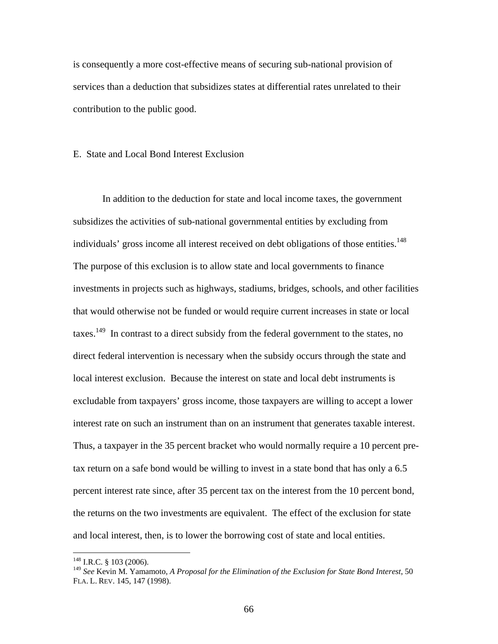is consequently a more cost-effective means of securing sub-national provision of services than a deduction that subsidizes states at differential rates unrelated to their contribution to the public good.

## E. State and Local Bond Interest Exclusion

 In addition to the deduction for state and local income taxes, the government subsidizes the activities of sub-national governmental entities by excluding from individuals' gross income all interest received on debt obligations of those entities.<sup>148</sup> The purpose of this exclusion is to allow state and local governments to finance investments in projects such as highways, stadiums, bridges, schools, and other facilities that would otherwise not be funded or would require current increases in state or local taxes.<sup>149</sup> In contrast to a direct subsidy from the federal government to the states, no direct federal intervention is necessary when the subsidy occurs through the state and local interest exclusion. Because the interest on state and local debt instruments is excludable from taxpayers' gross income, those taxpayers are willing to accept a lower interest rate on such an instrument than on an instrument that generates taxable interest. Thus, a taxpayer in the 35 percent bracket who would normally require a 10 percent pretax return on a safe bond would be willing to invest in a state bond that has only a 6.5 percent interest rate since, after 35 percent tax on the interest from the 10 percent bond, the returns on the two investments are equivalent. The effect of the exclusion for state and local interest, then, is to lower the borrowing cost of state and local entities.

<sup>&</sup>lt;sup>148</sup> I.R.C. § 103 (2006).

<sup>149</sup> *See* Kevin M. Yamamoto, *A Proposal for the Elimination of the Exclusion for State Bond Interest*, 50 FLA. L. REV. 145, 147 (1998).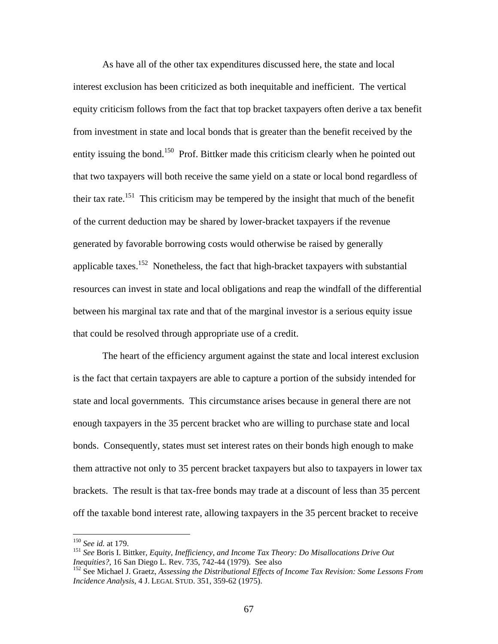As have all of the other tax expenditures discussed here, the state and local interest exclusion has been criticized as both inequitable and inefficient. The vertical equity criticism follows from the fact that top bracket taxpayers often derive a tax benefit from investment in state and local bonds that is greater than the benefit received by the entity issuing the bond.<sup>150</sup> Prof. Bittker made this criticism clearly when he pointed out that two taxpayers will both receive the same yield on a state or local bond regardless of their tax rate.<sup>151</sup> This criticism may be tempered by the insight that much of the benefit of the current deduction may be shared by lower-bracket taxpayers if the revenue generated by favorable borrowing costs would otherwise be raised by generally applicable taxes.<sup>152</sup> Nonetheless, the fact that high-bracket taxpayers with substantial resources can invest in state and local obligations and reap the windfall of the differential between his marginal tax rate and that of the marginal investor is a serious equity issue that could be resolved through appropriate use of a credit.

 The heart of the efficiency argument against the state and local interest exclusion is the fact that certain taxpayers are able to capture a portion of the subsidy intended for state and local governments. This circumstance arises because in general there are not enough taxpayers in the 35 percent bracket who are willing to purchase state and local bonds. Consequently, states must set interest rates on their bonds high enough to make them attractive not only to 35 percent bracket taxpayers but also to taxpayers in lower tax brackets. The result is that tax-free bonds may trade at a discount of less than 35 percent off the taxable bond interest rate, allowing taxpayers in the 35 percent bracket to receive

 $150$  See id. at 179.

<sup>&</sup>lt;sup>151</sup> *See* Boris I. Bittker, *Equity, Inefficiency, and Income Tax Theory: Do Misallocations Drive Out Inequities?, 16 San Diego L. Rev. 735, 742-44 (1979). See also* 

<sup>&</sup>lt;sup>152</sup> See Michael J. Graetz, *Assessing the Distributional Effects of Income Tax Revision: Some Lessons From Incidence Analysis*, 4 J. LEGAL STUD. 351, 359-62 (1975).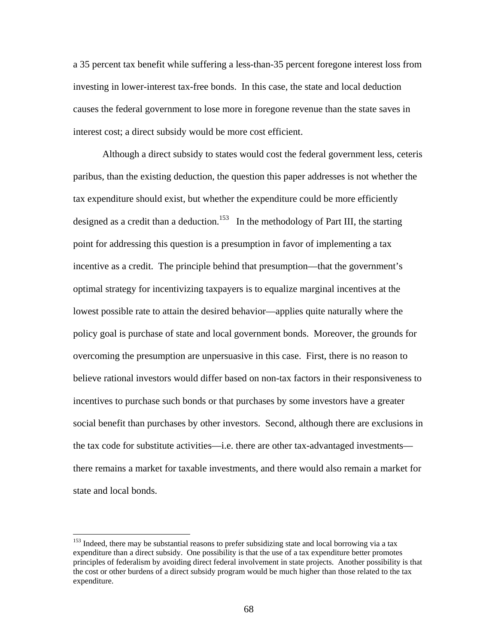a 35 percent tax benefit while suffering a less-than-35 percent foregone interest loss from investing in lower-interest tax-free bonds. In this case, the state and local deduction causes the federal government to lose more in foregone revenue than the state saves in interest cost; a direct subsidy would be more cost efficient.

 Although a direct subsidy to states would cost the federal government less, ceteris paribus, than the existing deduction, the question this paper addresses is not whether the tax expenditure should exist, but whether the expenditure could be more efficiently designed as a credit than a deduction.<sup>153</sup> In the methodology of Part III, the starting point for addressing this question is a presumption in favor of implementing a tax incentive as a credit. The principle behind that presumption—that the government's optimal strategy for incentivizing taxpayers is to equalize marginal incentives at the lowest possible rate to attain the desired behavior—applies quite naturally where the policy goal is purchase of state and local government bonds. Moreover, the grounds for overcoming the presumption are unpersuasive in this case. First, there is no reason to believe rational investors would differ based on non-tax factors in their responsiveness to incentives to purchase such bonds or that purchases by some investors have a greater social benefit than purchases by other investors. Second, although there are exclusions in the tax code for substitute activities—i.e. there are other tax-advantaged investments there remains a market for taxable investments, and there would also remain a market for state and local bonds.

<sup>&</sup>lt;sup>153</sup> Indeed, there may be substantial reasons to prefer subsidizing state and local borrowing via a tax expenditure than a direct subsidy. One possibility is that the use of a tax expenditure better promotes principles of federalism by avoiding direct federal involvement in state projects. Another possibility is that the cost or other burdens of a direct subsidy program would be much higher than those related to the tax expenditure.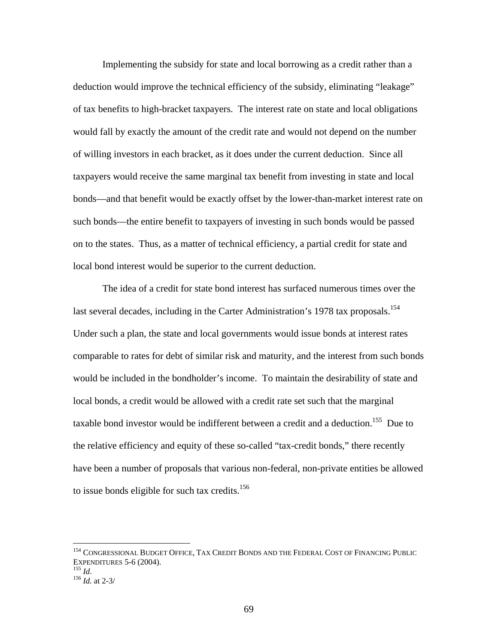Implementing the subsidy for state and local borrowing as a credit rather than a deduction would improve the technical efficiency of the subsidy, eliminating "leakage" of tax benefits to high-bracket taxpayers. The interest rate on state and local obligations would fall by exactly the amount of the credit rate and would not depend on the number of willing investors in each bracket, as it does under the current deduction. Since all taxpayers would receive the same marginal tax benefit from investing in state and local bonds—and that benefit would be exactly offset by the lower-than-market interest rate on such bonds—the entire benefit to taxpayers of investing in such bonds would be passed on to the states. Thus, as a matter of technical efficiency, a partial credit for state and local bond interest would be superior to the current deduction.

 The idea of a credit for state bond interest has surfaced numerous times over the last several decades, including in the Carter Administration's 1978 tax proposals.<sup>154</sup> Under such a plan, the state and local governments would issue bonds at interest rates comparable to rates for debt of similar risk and maturity, and the interest from such bonds would be included in the bondholder's income. To maintain the desirability of state and local bonds, a credit would be allowed with a credit rate set such that the marginal taxable bond investor would be indifferent between a credit and a deduction.<sup>155</sup> Due to the relative efficiency and equity of these so-called "tax-credit bonds," there recently have been a number of proposals that various non-federal, non-private entities be allowed to issue bonds eligible for such tax credits.<sup>156</sup>

<sup>&</sup>lt;sup>154</sup> CONGRESSIONAL BUDGET OFFICE, TAX CREDIT BONDS AND THE FEDERAL COST OF FINANCING PUBLIC EXPENDITURES 5-6 (2004). 155 *Id*. 156 *Id.* at 2-3/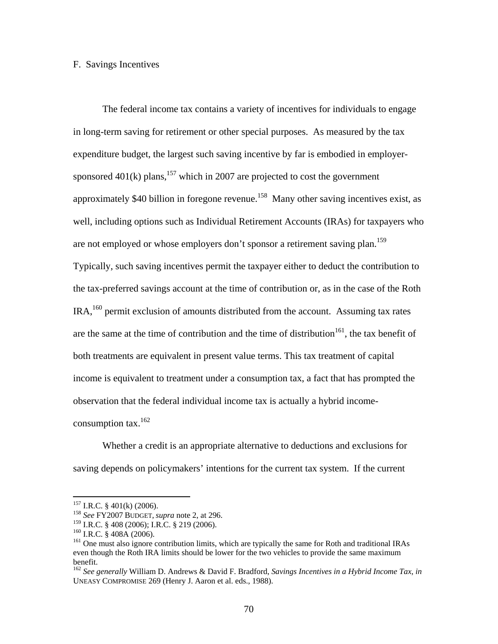# F. Savings Incentives

 The federal income tax contains a variety of incentives for individuals to engage in long-term saving for retirement or other special purposes. As measured by the tax expenditure budget, the largest such saving incentive by far is embodied in employersponsored  $401(k)$  plans,<sup>157</sup> which in 2007 are projected to cost the government approximately  $$40$  billion in foregone revenue.<sup>158</sup> Many other saving incentives exist, as well, including options such as Individual Retirement Accounts (IRAs) for taxpayers who are not employed or whose employers don't sponsor a retirement saving plan.<sup>159</sup> Typically, such saving incentives permit the taxpayer either to deduct the contribution to the tax-preferred savings account at the time of contribution or, as in the case of the Roth IRA,160 permit exclusion of amounts distributed from the account. Assuming tax rates are the same at the time of contribution and the time of distribution<sup>161</sup>, the tax benefit of both treatments are equivalent in present value terms. This tax treatment of capital income is equivalent to treatment under a consumption tax, a fact that has prompted the observation that the federal individual income tax is actually a hybrid incomeconsumption tax.162

 Whether a credit is an appropriate alternative to deductions and exclusions for saving depends on policymakers' intentions for the current tax system. If the current

<sup>&</sup>lt;sup>157</sup> I.R.C. § 401(k) (2006).<br><sup>158</sup> *See* FY2007 BUDGET, *supra* note 2, at 296.<br><sup>159</sup> I.R.C. § 408 (2006); I.R.C. § 219 (2006).

<sup>&</sup>lt;sup>160</sup> I.R.C. § 408A (2006). <sup>161</sup> One must also ignore contribution limits, which are typically the same for Roth and traditional IRAs even though the Roth IRA limits should be lower for the two vehicles to provide the same maximum benefit.

<sup>162</sup> *See generally* William D. Andrews & David F. Bradford, *Savings Incentives in a Hybrid Income Tax*, *in* UNEASY COMPROMISE 269 (Henry J. Aaron et al. eds., 1988).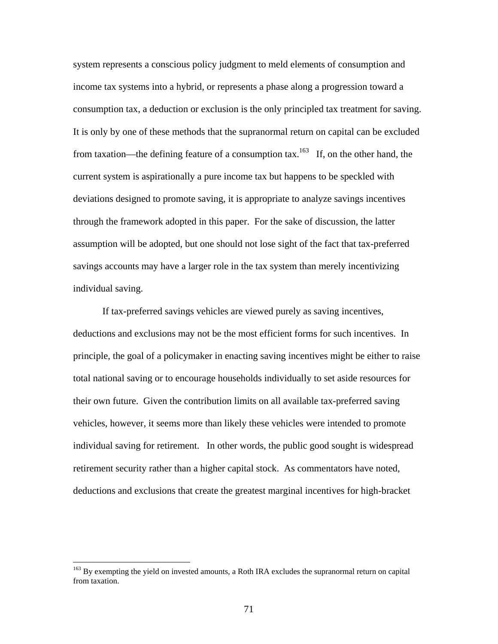system represents a conscious policy judgment to meld elements of consumption and income tax systems into a hybrid, or represents a phase along a progression toward a consumption tax, a deduction or exclusion is the only principled tax treatment for saving. It is only by one of these methods that the supranormal return on capital can be excluded from taxation—the defining feature of a consumption tax.<sup>163</sup> If, on the other hand, the current system is aspirationally a pure income tax but happens to be speckled with deviations designed to promote saving, it is appropriate to analyze savings incentives through the framework adopted in this paper. For the sake of discussion, the latter assumption will be adopted, but one should not lose sight of the fact that tax-preferred savings accounts may have a larger role in the tax system than merely incentivizing individual saving.

 If tax-preferred savings vehicles are viewed purely as saving incentives, deductions and exclusions may not be the most efficient forms for such incentives. In principle, the goal of a policymaker in enacting saving incentives might be either to raise total national saving or to encourage households individually to set aside resources for their own future. Given the contribution limits on all available tax-preferred saving vehicles, however, it seems more than likely these vehicles were intended to promote individual saving for retirement. In other words, the public good sought is widespread retirement security rather than a higher capital stock. As commentators have noted, deductions and exclusions that create the greatest marginal incentives for high-bracket

<sup>&</sup>lt;sup>163</sup> By exempting the yield on invested amounts, a Roth IRA excludes the supranormal return on capital from taxation.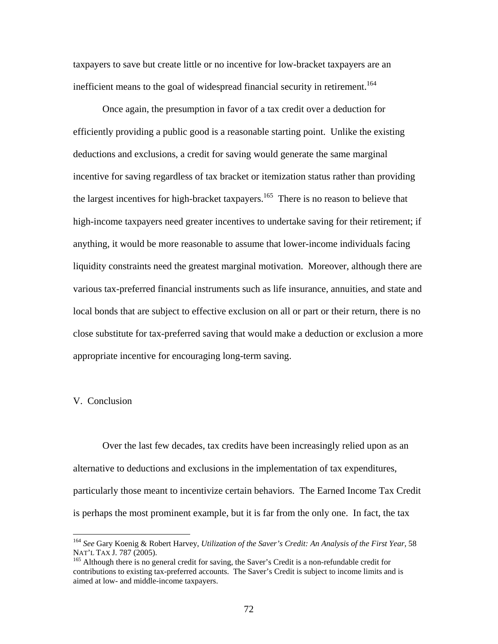taxpayers to save but create little or no incentive for low-bracket taxpayers are an inefficient means to the goal of widespread financial security in retirement.<sup>164</sup>

 Once again, the presumption in favor of a tax credit over a deduction for efficiently providing a public good is a reasonable starting point. Unlike the existing deductions and exclusions, a credit for saving would generate the same marginal incentive for saving regardless of tax bracket or itemization status rather than providing the largest incentives for high-bracket taxpayers.<sup>165</sup> There is no reason to believe that high-income taxpayers need greater incentives to undertake saving for their retirement; if anything, it would be more reasonable to assume that lower-income individuals facing liquidity constraints need the greatest marginal motivation. Moreover, although there are various tax-preferred financial instruments such as life insurance, annuities, and state and local bonds that are subject to effective exclusion on all or part or their return, there is no close substitute for tax-preferred saving that would make a deduction or exclusion a more appropriate incentive for encouraging long-term saving.

### V. Conclusion

 $\overline{a}$ 

 Over the last few decades, tax credits have been increasingly relied upon as an alternative to deductions and exclusions in the implementation of tax expenditures, particularly those meant to incentivize certain behaviors. The Earned Income Tax Credit is perhaps the most prominent example, but it is far from the only one. In fact, the tax

<sup>164</sup> *See* Gary Koenig & Robert Harvey, *Utilization of the Saver's Credit: An Analysis of the First Year*, 58 NAT'L TAX J. 787 (2005).<br><sup>165</sup> Although there is no general credit for saving, the Saver's Credit is a non-refundable credit for

contributions to existing tax-preferred accounts. The Saver's Credit is subject to income limits and is aimed at low- and middle-income taxpayers.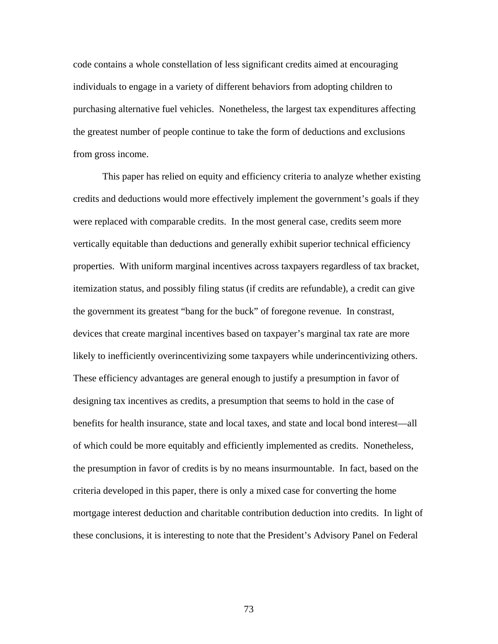code contains a whole constellation of less significant credits aimed at encouraging individuals to engage in a variety of different behaviors from adopting children to purchasing alternative fuel vehicles. Nonetheless, the largest tax expenditures affecting the greatest number of people continue to take the form of deductions and exclusions from gross income.

 This paper has relied on equity and efficiency criteria to analyze whether existing credits and deductions would more effectively implement the government's goals if they were replaced with comparable credits. In the most general case, credits seem more vertically equitable than deductions and generally exhibit superior technical efficiency properties. With uniform marginal incentives across taxpayers regardless of tax bracket, itemization status, and possibly filing status (if credits are refundable), a credit can give the government its greatest "bang for the buck" of foregone revenue. In constrast, devices that create marginal incentives based on taxpayer's marginal tax rate are more likely to inefficiently overincentivizing some taxpayers while underincentivizing others. These efficiency advantages are general enough to justify a presumption in favor of designing tax incentives as credits, a presumption that seems to hold in the case of benefits for health insurance, state and local taxes, and state and local bond interest—all of which could be more equitably and efficiently implemented as credits. Nonetheless, the presumption in favor of credits is by no means insurmountable. In fact, based on the criteria developed in this paper, there is only a mixed case for converting the home mortgage interest deduction and charitable contribution deduction into credits. In light of these conclusions, it is interesting to note that the President's Advisory Panel on Federal

73